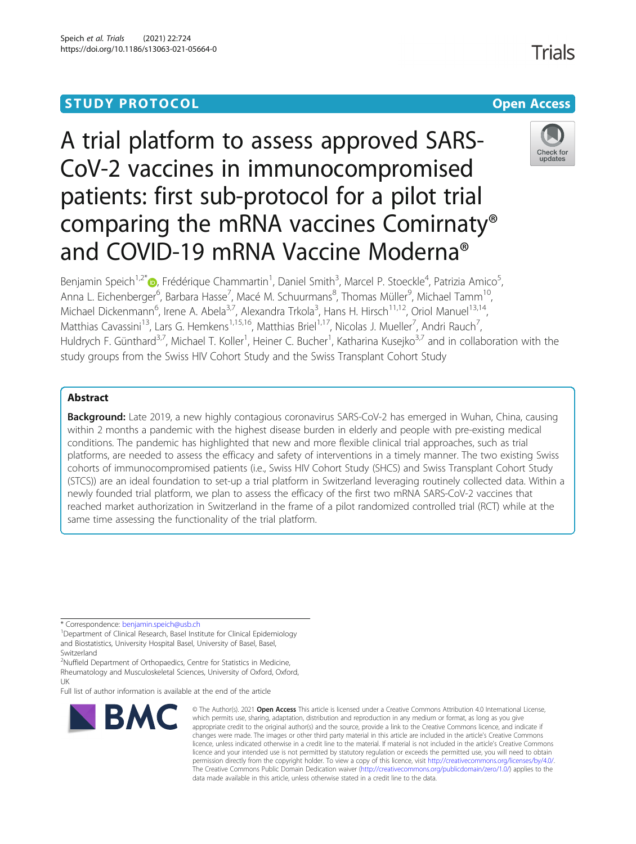# **STUDY PROTOCOL CONSUMING THE RESERVE ACCESS**

# A trial platform to assess approved SARS-CoV-2 vaccines in immunocompromised patients: first sub-protocol for a pilot trial comparing the mRNA vaccines Comirnaty®

and COVID-19 mRNA Vaccine Moderna®



# Abstract

Background: Late 2019, a new highly contagious coronavirus SARS-CoV-2 has emerged in Wuhan, China, causing within 2 months a pandemic with the highest disease burden in elderly and people with pre-existing medical conditions. The pandemic has highlighted that new and more flexible clinical trial approaches, such as trial platforms, are needed to assess the efficacy and safety of interventions in a timely manner. The two existing Swiss cohorts of immunocompromised patients (i.e., Swiss HIV Cohort Study (SHCS) and Swiss Transplant Cohort Study (STCS)) are an ideal foundation to set-up a trial platform in Switzerland leveraging routinely collected data. Within a newly founded trial platform, we plan to assess the efficacy of the first two mRNA SARS-CoV-2 vaccines that reached market authorization in Switzerland in the frame of a pilot randomized controlled trial (RCT) while at the same time assessing the functionality of the trial platform.

\* Correspondence: [benjamin.speich@usb.ch](mailto:benjamin.speich@usb.ch) <sup>1</sup>

<sup>1</sup>Department of Clinical Research, Basel Institute for Clinical Epidemiology and Biostatistics, University Hospital Basel, University of Basel, Basel, Switzerland

<sup>2</sup>Nuffield Department of Orthopaedics, Centre for Statistics in Medicine, Rheumatology and Musculoskeletal Sciences, University of Oxford, Oxford, UK

Full list of author information is available at the end of the article



<sup>©</sup> The Author(s), 2021 **Open Access** This article is licensed under a Creative Commons Attribution 4.0 International License, which permits use, sharing, adaptation, distribution and reproduction in any medium or format, as long as you give appropriate credit to the original author(s) and the source, provide a link to the Creative Commons licence, and indicate if changes were made. The images or other third party material in this article are included in the article's Creative Commons licence, unless indicated otherwise in a credit line to the material. If material is not included in the article's Creative Commons licence and your intended use is not permitted by statutory regulation or exceeds the permitted use, you will need to obtain permission directly from the copyright holder. To view a copy of this licence, visit [http://creativecommons.org/licenses/by/4.0/.](http://creativecommons.org/licenses/by/4.0/) The Creative Commons Public Domain Dedication waiver [\(http://creativecommons.org/publicdomain/zero/1.0/](http://creativecommons.org/publicdomain/zero/1.0/)) applies to the data made available in this article, unless otherwise stated in a credit line to the data.

Trials

Check for undates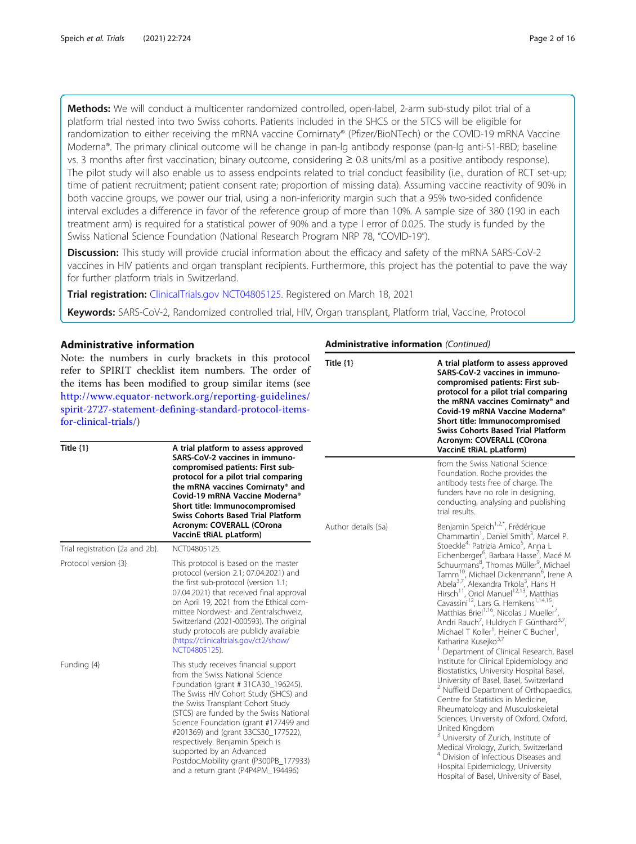Methods: We will conduct a multicenter randomized controlled, open-label, 2-arm sub-study pilot trial of a platform trial nested into two Swiss cohorts. Patients included in the SHCS or the STCS will be eligible for randomization to either receiving the mRNA vaccine Comirnaty® (Pfizer/BioNTech) or the COVID-19 mRNA Vaccine Moderna®. The primary clinical outcome will be change in pan-lg antibody response (pan-Ig anti-S1-RBD; baseline vs. 3 months after first vaccination; binary outcome, considering ≥ 0.8 units/ml as a positive antibody response). The pilot study will also enable us to assess endpoints related to trial conduct feasibility (i.e., duration of RCT set-up; time of patient recruitment; patient consent rate; proportion of missing data). Assuming vaccine reactivity of 90% in both vaccine groups, we power our trial, using a non-inferiority margin such that a 95% two-sided confidence interval excludes a difference in favor of the reference group of more than 10%. A sample size of 380 (190 in each treatment arm) is required for a statistical power of 90% and a type I error of 0.025. The study is funded by the Swiss National Science Foundation (National Research Program NRP 78, "COVID-19").

**Discussion:** This study will provide crucial information about the efficacy and safety of the mRNA SARS-CoV-2 vaccines in HIV patients and organ transplant recipients. Furthermore, this project has the potential to pave the way for further platform trials in Switzerland.

Trial registration: [ClinicalTrials.gov](http://clinicaltrials.gov) [NCT04805125](https://clinicaltrials.gov/ct2/show/NCT04805125). Registered on March 18, 2021

Keywords: SARS-CoV-2, Randomized controlled trial, HIV, Organ transplant, Platform trial, Vaccine, Protocol

#### Administrative information

Note: the numbers in curly brackets in this protocol refer to SPIRIT checklist item numbers. The order of the items has been modified to group similar items (see [http://www.equator-network.org/reporting-guidelines/](http://www.equator-network.org/reporting-guidelines/spirit-2727-statement-defining-standard-protocol-items-for-clinical-trials/) [spirit-2727-statement-defining-standard-protocol-items](http://www.equator-network.org/reporting-guidelines/spirit-2727-statement-defining-standard-protocol-items-for-clinical-trials/)[for-clinical-trials/](http://www.equator-network.org/reporting-guidelines/spirit-2727-statement-defining-standard-protocol-items-for-clinical-trials/))

| Title $\{1\}$                   | A trial platform to assess approved<br>SARS-CoV-2 vaccines in immuno-<br>compromised patients: First sub-<br>protocol for a pilot trial comparing<br>the mRNA vaccines Comirnaty® and<br>Covid-19 mRNA Vaccine Moderna®<br>Short title: Immunocompromised<br><b>Swiss Cohorts Based Trial Platform</b><br>Acronym: COVERALL (COrona<br>VaccinE tRiAL pLatform)                                                                                                           | Author details {5a} |
|---------------------------------|--------------------------------------------------------------------------------------------------------------------------------------------------------------------------------------------------------------------------------------------------------------------------------------------------------------------------------------------------------------------------------------------------------------------------------------------------------------------------|---------------------|
| Trial registration {2a and 2b}. | NCT04805125.                                                                                                                                                                                                                                                                                                                                                                                                                                                             |                     |
| Protocol version {3}            | This protocol is based on the master<br>protocol (version 2.1; 07.04.2021) and<br>the first sub-protocol (version 1.1;<br>07.04.2021) that received final approval<br>on April 19, 2021 from the Ethical com-<br>mittee Nordwest- and Zentralschweiz.<br>Switzerland (2021-000593). The original<br>study protocols are publicly available<br>(https://clinicaltrials.gov/ct2/show/<br>NCT04805125).                                                                     |                     |
| Funding {4}                     | This study receives financial support<br>from the Swiss National Science<br>Foundation (grant # 31CA30_196245).<br>The Swiss HIV Cohort Study (SHCS) and<br>the Swiss Transplant Cohort Study<br>(STCS) are funded by the Swiss National<br>Science Foundation (grant #177499 and<br>#201369) and (grant 33CS30_177522),<br>respectively. Benjamin Speich is<br>supported by an Advanced<br>Postdoc.Mobility grant (P300PB_177933)<br>and a return grant (P4P4PM_194496) |                     |

#### Administrative information (Continued)

| Title $\{1\}$       | A trial platform to assess approved<br>SARS-CoV-2 vaccines in immuno-<br>compromised patients: First sub-<br>protocol for a pilot trial comparing<br>the mRNA vaccines Comirnaty® and<br>Covid-19 mRNA Vaccine Moderna®<br>Short title: Immunocompromised<br><b>Swiss Cohorts Based Trial Platform</b><br>Acronym: COVERALL (COrona<br><b>VaccinE tRiAL pLatform)</b>                                                                                                                                                                                                                                                                                                                                                                                                                                                                                                                                                                                                                                                                                                                                                                                                                                                                                                                                                                                                                                                                                                                                                |  |  |  |
|---------------------|----------------------------------------------------------------------------------------------------------------------------------------------------------------------------------------------------------------------------------------------------------------------------------------------------------------------------------------------------------------------------------------------------------------------------------------------------------------------------------------------------------------------------------------------------------------------------------------------------------------------------------------------------------------------------------------------------------------------------------------------------------------------------------------------------------------------------------------------------------------------------------------------------------------------------------------------------------------------------------------------------------------------------------------------------------------------------------------------------------------------------------------------------------------------------------------------------------------------------------------------------------------------------------------------------------------------------------------------------------------------------------------------------------------------------------------------------------------------------------------------------------------------|--|--|--|
|                     | from the Swiss National Science<br>Foundation. Roche provides the<br>antibody tests free of charge. The<br>funders have no role in designing,<br>conducting, analysing and publishing<br>trial results.                                                                                                                                                                                                                                                                                                                                                                                                                                                                                                                                                                                                                                                                                                                                                                                                                                                                                                                                                                                                                                                                                                                                                                                                                                                                                                              |  |  |  |
| Author details {5a} | Benjamin Speich <sup>1,2,*</sup> , Frédérique<br>Chammartin <sup>1</sup> , Daniel Smith <sup>3</sup> , Marcel P.<br>Stoeckle <sup>4,</sup> Patrizia Amico <sup>5</sup> , Anna L<br>Eichenberger <sup>6</sup> , Barbara Hasse <sup>7</sup> , Macé M<br>Schuurmans <sup>8</sup> , Thomas Müller <sup>9</sup> , Michael<br>Tamm <sup>10</sup> , Michael Dickenmann <sup>6</sup> , Irene A<br>Abela <sup>3,7</sup> , Alexandra Trkola <sup>3</sup> , Hans H<br>Abela <sup>3,7</sup> , Alexandra Trkola <sup>3</sup> , Hans H<br>Hirsch <sup>11</sup> , Oriol Manuel <sup>12,13</sup> , Matthias<br>Cavassini <sup>12</sup> , Lars G. Hemkens <sup>1,14,15</sup> ,<br>Matthias Briel <sup>1,16</sup> , Nicolas J Mueller <sup>7</sup> ,<br>Andri Rauch <sup>7</sup> , Huldrych F Günthard <sup>3,7</sup> ,<br>Michael T Koller <sup>1</sup> , Heiner C Bucher <sup>1</sup> ,<br>Katharina Kusejko <sup>3,7</sup><br>Department of Clinical Research, Basel<br>Institute for Clinical Epidemiology and<br>Biostatistics, University Hospital Basel,<br>University of Basel, Basel, Switzerland<br><sup>2</sup> Nuffield Department of Orthopaedics,<br>Centre for Statistics in Medicine,<br>Rheumatology and Musculoskeletal<br>Sciences, University of Oxford, Oxford,<br>United Kingdom<br><sup>3</sup> University of Zurich, Institute of<br>Medical Virology, Zurich, Switzerland<br><sup>4</sup> Division of Infectious Diseases and<br>Hospital Epidemiology, University<br>Hospital of Basel, University of Basel. |  |  |  |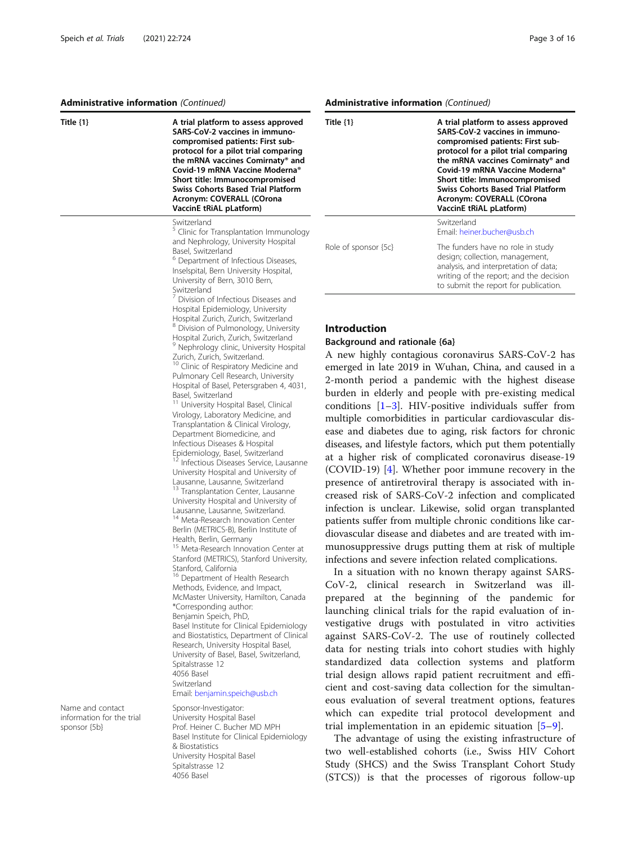#### Administrative information (Continued)

Title {1} A trial platform to assess approved SARS-CoV-2 vaccines in immunocompromised patients: First subprotocol for a pilot trial comparing the mRNA vaccines Comirnaty® and Covid-19 mRNA Vaccine Moderna® Short title: Immunocompromised Swiss Cohorts Based Trial Platform Acronym: COVERALL (COrona VaccinE tRiAL pLatform)

#### Switzerland

 $5$  Clinic for Transplantation Immunology and Nephrology, University Hospital Basel, Switzerland

<sup>6</sup> Department of Infectious Diseases, Inselspital, Bern University Hospital, University of Bern, 3010 Bern, Switzerland

<sup>7</sup> Division of Infectious Diseases and Hospital Epidemiology, University Hospital Zurich, Zurich, Switzerland <sup>8</sup> Division of Pulmonology, University

Hospital Zurich, Zurich, Switzerland <sup>9</sup> Nephrology clinic, University Hospital

Zurich, Zurich, Switzerland. <sup>10</sup> Clinic of Respiratory Medicine and Pulmonary Cell Research, University Hospital of Basel, Petersgraben 4, 4031, Basel, Switzerland

University Hospital Basel, Clinical Virology, Laboratory Medicine, and Transplantation & Clinical Virology, Department Biomedicine, and Infectious Diseases & Hospital Epidemiology, Basel, Switzerland

Infectious Diseases Service, Lausanne University Hospital and University of Lausanne, Lausanne, Switzerland

<sup>13</sup> Transplantation Center, Lausanne University Hospital and University of Lausanne, Lausanne, Switzerland. <sup>14</sup> Meta-Research Innovation Center

Berlin (METRICS-B), Berlin Institute of Health, Berlin, Germany

<sup>15</sup> Meta-Research Innovation Center at Stanford (METRICS), Stanford University, Stanford, California

<sup>16</sup> Department of Health Research Methods, Evidence, and Impact, McMaster University, Hamilton, Canada \*Corresponding author: Benjamin Speich, PhD, Basel Institute for Clinical Epidemiology and Biostatistics, Department of Clinical Research, University Hospital Basel, University of Basel, Basel, Switzerland, Spitalstrasse 12 4056 Basel Switzerland

Email: [benjamin.speich@usb.ch](mailto:benjamin.speich@usb.ch)

Sponsor-Investigator: University Hospital Basel Prof. Heiner C. Bucher MD MPH Basel Institute for Clinical Epidemiology & Biostatistics University Hospital Basel Spitalstrasse 12 4056 Basel

#### Administrative information (Continued)

| Title $\{1\}$        | A trial platform to assess approved<br>SARS-CoV-2 vaccines in immuno-<br>compromised patients: First sub-<br>protocol for a pilot trial comparing<br>the mRNA vaccines Comirnaty® and<br>Covid-19 mRNA Vaccine Moderna®<br>Short title: Immunocompromised<br><b>Swiss Cohorts Based Trial Platform</b><br>Acronym: COVERALL (COrona<br><b>VaccinE tRiAL pLatform)</b> |  |  |
|----------------------|-----------------------------------------------------------------------------------------------------------------------------------------------------------------------------------------------------------------------------------------------------------------------------------------------------------------------------------------------------------------------|--|--|
|                      | Switzerland<br>Email: heiner.bucher@usb.ch                                                                                                                                                                                                                                                                                                                            |  |  |
| Role of sponsor {5c} | The funders have no role in study<br>design; collection, management,<br>analysis, and interpretation of data;<br>writing of the report; and the decision<br>to submit the report for publication.                                                                                                                                                                     |  |  |

#### Introduction

#### Background and rationale {6a}

A new highly contagious coronavirus SARS-CoV-2 has emerged in late 2019 in Wuhan, China, and caused in a 2-month period a pandemic with the highest disease burden in elderly and people with pre-existing medical conditions  $[1-3]$  $[1-3]$  $[1-3]$ . HIV-positive individuals suffer from multiple comorbidities in particular cardiovascular disease and diabetes due to aging, risk factors for chronic diseases, and lifestyle factors, which put them potentially at a higher risk of complicated coronavirus disease-19 (COVID-19) [[4\]](#page-14-0). Whether poor immune recovery in the presence of antiretroviral therapy is associated with increased risk of SARS-CoV-2 infection and complicated infection is unclear. Likewise, solid organ transplanted patients suffer from multiple chronic conditions like cardiovascular disease and diabetes and are treated with immunosuppressive drugs putting them at risk of multiple infections and severe infection related complications.

In a situation with no known therapy against SARS-CoV-2, clinical research in Switzerland was illprepared at the beginning of the pandemic for launching clinical trials for the rapid evaluation of investigative drugs with postulated in vitro activities against SARS-CoV-2. The use of routinely collected data for nesting trials into cohort studies with highly standardized data collection systems and platform trial design allows rapid patient recruitment and efficient and cost-saving data collection for the simultaneous evaluation of several treatment options, features which can expedite trial protocol development and trial implementation in an epidemic situation [\[5](#page-14-0)–[9](#page-14-0)].

The advantage of using the existing infrastructure of two well-established cohorts (i.e., Swiss HIV Cohort Study (SHCS) and the Swiss Transplant Cohort Study (STCS)) is that the processes of rigorous follow-up

Name and contact information for the trial sponsor {5b}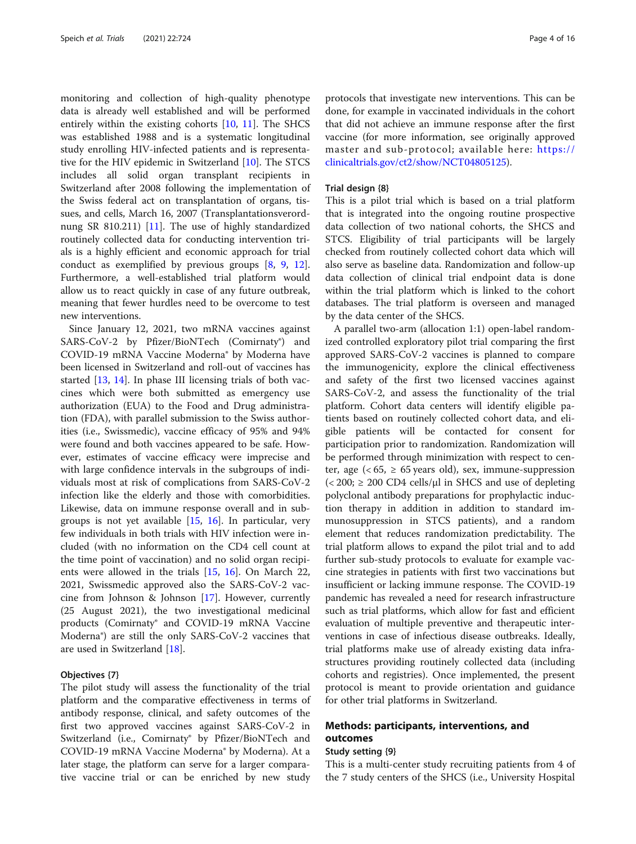monitoring and collection of high-quality phenotype data is already well established and will be performed entirely within the existing cohorts [[10,](#page-14-0) [11\]](#page-14-0). The SHCS was established 1988 and is a systematic longitudinal study enrolling HIV-infected patients and is representative for the HIV epidemic in Switzerland [[10\]](#page-14-0). The STCS includes all solid organ transplant recipients in Switzerland after 2008 following the implementation of the Swiss federal act on transplantation of organs, tissues, and cells, March 16, 2007 (Transplantationsverordnung SR 810.211) [\[11](#page-14-0)]. The use of highly standardized routinely collected data for conducting intervention trials is a highly efficient and economic approach for trial conduct as exemplified by previous groups [[8,](#page-14-0) [9](#page-14-0), [12](#page-14-0)]. Furthermore, a well-established trial platform would allow us to react quickly in case of any future outbreak, meaning that fewer hurdles need to be overcome to test new interventions.

Since January 12, 2021, two mRNA vaccines against SARS-CoV-2 by Pfizer/BioNTech (Comirnaty®) and COVID-19 mRNA Vaccine Moderna® by Moderna have been licensed in Switzerland and roll-out of vaccines has started [\[13,](#page-14-0) [14](#page-14-0)]. In phase III licensing trials of both vaccines which were both submitted as emergency use authorization (EUA) to the Food and Drug administration (FDA), with parallel submission to the Swiss authorities (i.e., Swissmedic), vaccine efficacy of 95% and 94% were found and both vaccines appeared to be safe. However, estimates of vaccine efficacy were imprecise and with large confidence intervals in the subgroups of individuals most at risk of complications from SARS-CoV-2 infection like the elderly and those with comorbidities. Likewise, data on immune response overall and in subgroups is not yet available [[15,](#page-14-0) [16](#page-14-0)]. In particular, very few individuals in both trials with HIV infection were included (with no information on the CD4 cell count at the time point of vaccination) and no solid organ recipients were allowed in the trials [\[15,](#page-14-0) [16](#page-14-0)]. On March 22, 2021, Swissmedic approved also the SARS-CoV-2 vaccine from Johnson & Johnson [\[17](#page-14-0)]. However, currently (25 August 2021), the two investigational medicinal products (Comirnaty® and COVID-19 mRNA Vaccine Moderna®) are still the only SARS-CoV-2 vaccines that are used in Switzerland [\[18](#page-14-0)].

#### Objectives {7}

The pilot study will assess the functionality of the trial platform and the comparative effectiveness in terms of antibody response, clinical, and safety outcomes of the first two approved vaccines against SARS-CoV-2 in Switzerland (i.e., Comirnaty<sup>®</sup> by Pfizer/BioNTech and COVID-19 mRNA Vaccine Moderna® by Moderna). At a later stage, the platform can serve for a larger comparative vaccine trial or can be enriched by new study protocols that investigate new interventions. This can be done, for example in vaccinated individuals in the cohort that did not achieve an immune response after the first vaccine (for more information, see originally approved master and sub-protocol; available here: [https://](https://clinicaltrials.gov/ct2/show/NCT04805125) [clinicaltrials.gov/ct2/show/NCT04805125](https://clinicaltrials.gov/ct2/show/NCT04805125)).

#### Trial design {8}

This is a pilot trial which is based on a trial platform that is integrated into the ongoing routine prospective data collection of two national cohorts, the SHCS and STCS. Eligibility of trial participants will be largely checked from routinely collected cohort data which will also serve as baseline data. Randomization and follow-up data collection of clinical trial endpoint data is done within the trial platform which is linked to the cohort databases. The trial platform is overseen and managed by the data center of the SHCS.

A parallel two-arm (allocation 1:1) open-label randomized controlled exploratory pilot trial comparing the first approved SARS-CoV-2 vaccines is planned to compare the immunogenicity, explore the clinical effectiveness and safety of the first two licensed vaccines against SARS-CoV-2, and assess the functionality of the trial platform. Cohort data centers will identify eligible patients based on routinely collected cohort data, and eligible patients will be contacted for consent for participation prior to randomization. Randomization will be performed through minimization with respect to center, age  $(< 65, \ge 65$  years old), sex, immune-suppression  $\langle$  < 200;  $\geq$  200 CD4 cells/ $\mu$ l in SHCS and use of depleting polyclonal antibody preparations for prophylactic induction therapy in addition in addition to standard immunosuppression in STCS patients), and a random element that reduces randomization predictability. The trial platform allows to expand the pilot trial and to add further sub-study protocols to evaluate for example vaccine strategies in patients with first two vaccinations but insufficient or lacking immune response. The COVID-19 pandemic has revealed a need for research infrastructure such as trial platforms, which allow for fast and efficient evaluation of multiple preventive and therapeutic interventions in case of infectious disease outbreaks. Ideally, trial platforms make use of already existing data infrastructures providing routinely collected data (including cohorts and registries). Once implemented, the present protocol is meant to provide orientation and guidance for other trial platforms in Switzerland.

# Methods: participants, interventions, and outcomes

#### Study setting {9}

This is a multi-center study recruiting patients from 4 of the 7 study centers of the SHCS (i.e., University Hospital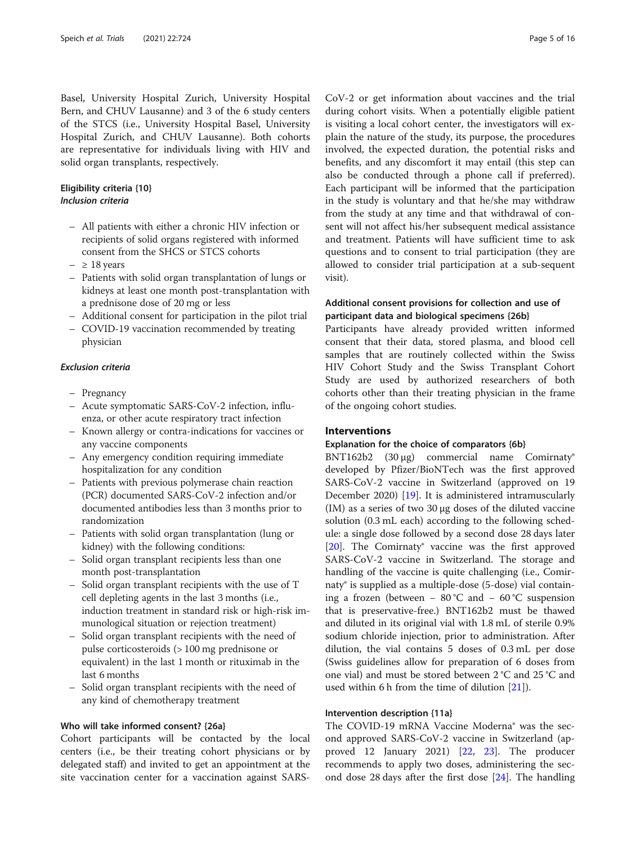Basel, University Hospital Zurich, University Hospital Bern, and CHUV Lausanne) and 3 of the 6 study centers of the STCS (i.e., University Hospital Basel, University Hospital Zurich, and CHUV Lausanne). Both cohorts are representative for individuals living with HIV and solid organ transplants, respectively.

#### Eligibility criteria {10} Inclusion criteria

- All patients with either a chronic HIV infection or recipients of solid organs registered with informed consent from the SHCS or STCS cohorts
- $-$  ≥ 18 years
- Patients with solid organ transplantation of lungs or kidneys at least one month post-transplantation with a prednisone dose of 20 mg or less
- Additional consent for participation in the pilot trial
- COVID-19 vaccination recommended by treating physician

#### Exclusion criteria

- Pregnancy
- Acute symptomatic SARS-CoV-2 infection, influenza, or other acute respiratory tract infection
- Known allergy or contra-indications for vaccines or any vaccine components
- Any emergency condition requiring immediate hospitalization for any condition
- Patients with previous polymerase chain reaction (PCR) documented SARS-CoV-2 infection and/or documented antibodies less than 3 months prior to randomization
- Patients with solid organ transplantation (lung or kidney) with the following conditions:
- Solid organ transplant recipients less than one month post-transplantation
- Solid organ transplant recipients with the use of T cell depleting agents in the last 3 months (i.e., induction treatment in standard risk or high-risk immunological situation or rejection treatment)
- Solid organ transplant recipients with the need of pulse corticosteroids (> 100 mg prednisone or equivalent) in the last 1 month or rituximab in the last 6 months
- Solid organ transplant recipients with the need of any kind of chemotherapy treatment

#### Who will take informed consent? {26a}

Cohort participants will be contacted by the local centers (i.e., be their treating cohort physicians or by delegated staff) and invited to get an appointment at the site vaccination center for a vaccination against SARS-

CoV-2 or get information about vaccines and the trial during cohort visits. When a potentially eligible patient is visiting a local cohort center, the investigators will explain the nature of the study, its purpose, the procedures involved, the expected duration, the potential risks and benefits, and any discomfort it may entail (this step can also be conducted through a phone call if preferred). Each participant will be informed that the participation in the study is voluntary and that he/she may withdraw from the study at any time and that withdrawal of consent will not affect his/her subsequent medical assistance and treatment. Patients will have sufficient time to ask questions and to consent to trial participation (they are allowed to consider trial participation at a sub-sequent visit).

## Additional consent provisions for collection and use of participant data and biological specimens {26b}

Participants have already provided written informed consent that their data, stored plasma, and blood cell samples that are routinely collected within the Swiss HIV Cohort Study and the Swiss Transplant Cohort Study are used by authorized researchers of both cohorts other than their treating physician in the frame of the ongoing cohort studies.

#### Interventions

#### Explanation for the choice of comparators {6b}

BNT162b2 (30 μg) commercial name Comirnaty® developed by Pfizer/BioNTech was the first approved SARS-CoV-2 vaccine in Switzerland (approved on 19 December 2020) [[19](#page-14-0)]. It is administered intramuscularly (IM) as a series of two 30 μg doses of the diluted vaccine solution (0.3 mL each) according to the following schedule: a single dose followed by a second dose 28 days later [[20\]](#page-14-0). The Comirnaty® vaccine was the first approved SARS-CoV-2 vaccine in Switzerland. The storage and handling of the vaccine is quite challenging (i.e., Comirnaty® is supplied as a multiple-dose (5-dose) vial containing a frozen (between − 80 °C and − 60 °C suspension that is preservative-free.) BNT162b2 must be thawed and diluted in its original vial with 1.8 mL of sterile 0.9% sodium chloride injection, prior to administration. After dilution, the vial contains 5 doses of 0.3 mL per dose (Swiss guidelines allow for preparation of 6 doses from one vial) and must be stored between 2 °C and 25 °C and used within 6 h from the time of dilution [\[21\]](#page-14-0)).

#### Intervention description {11a}

The COVID-19 mRNA Vaccine Moderna® was the second approved SARS-CoV-2 vaccine in Switzerland (approved 12 January 2021) [[22,](#page-14-0) [23](#page-14-0)]. The producer recommends to apply two doses, administering the second dose 28 days after the first dose [\[24\]](#page-14-0). The handling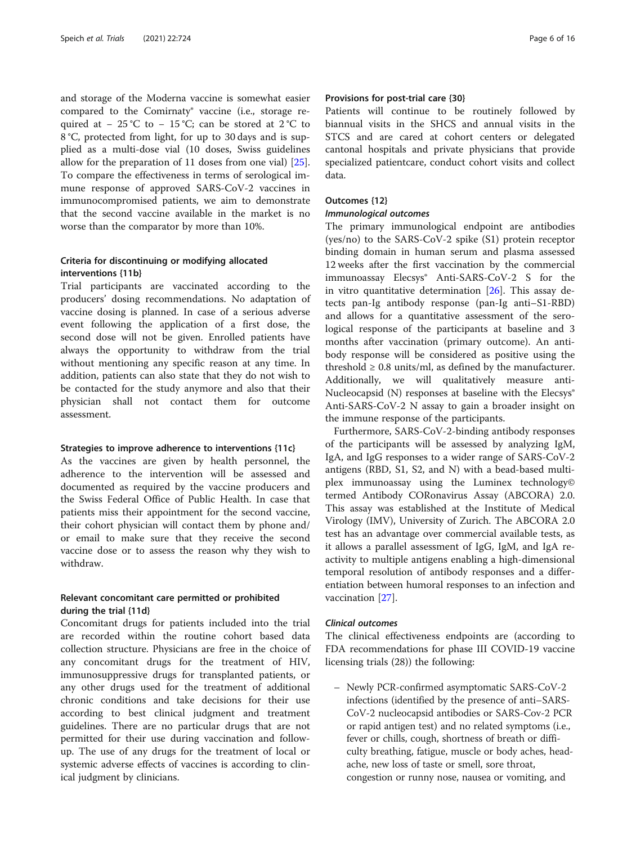and storage of the Moderna vaccine is somewhat easier compared to the Comirnaty® vaccine (i.e., storage required at − 25 °C to − 15 °C; can be stored at 2 °C to 8 °C, protected from light, for up to 30 days and is supplied as a multi-dose vial (10 doses, Swiss guidelines allow for the preparation of 11 doses from one vial) [\[25](#page-14-0)]. To compare the effectiveness in terms of serological immune response of approved SARS-CoV-2 vaccines in immunocompromised patients, we aim to demonstrate that the second vaccine available in the market is no worse than the comparator by more than 10%.

#### Criteria for discontinuing or modifying allocated interventions {11b}

Trial participants are vaccinated according to the producers' dosing recommendations. No adaptation of vaccine dosing is planned. In case of a serious adverse event following the application of a first dose, the second dose will not be given. Enrolled patients have always the opportunity to withdraw from the trial without mentioning any specific reason at any time. In addition, patients can also state that they do not wish to be contacted for the study anymore and also that their physician shall not contact them for outcome assessment.

#### Strategies to improve adherence to interventions {11c}

As the vaccines are given by health personnel, the adherence to the intervention will be assessed and documented as required by the vaccine producers and the Swiss Federal Office of Public Health. In case that patients miss their appointment for the second vaccine, their cohort physician will contact them by phone and/ or email to make sure that they receive the second vaccine dose or to assess the reason why they wish to withdraw.

#### Relevant concomitant care permitted or prohibited during the trial {11d}

Concomitant drugs for patients included into the trial are recorded within the routine cohort based data collection structure. Physicians are free in the choice of any concomitant drugs for the treatment of HIV, immunosuppressive drugs for transplanted patients, or any other drugs used for the treatment of additional chronic conditions and take decisions for their use according to best clinical judgment and treatment guidelines. There are no particular drugs that are not permitted for their use during vaccination and followup. The use of any drugs for the treatment of local or systemic adverse effects of vaccines is according to clinical judgment by clinicians.

#### Provisions for post-trial care {30}

Patients will continue to be routinely followed by biannual visits in the SHCS and annual visits in the STCS and are cared at cohort centers or delegated cantonal hospitals and private physicians that provide specialized patientcare, conduct cohort visits and collect data.

#### Outcomes {12}

#### Immunological outcomes

The primary immunological endpoint are antibodies (yes/no) to the SARS-CoV-2 spike (S1) protein receptor binding domain in human serum and plasma assessed 12 weeks after the first vaccination by the commercial immunoassay Elecsys® Anti-SARS-CoV-2 S for the in vitro quantitative determination [\[26](#page-14-0)]. This assay detects pan-Ig antibody response (pan-Ig anti–S1-RBD) and allows for a quantitative assessment of the serological response of the participants at baseline and 3 months after vaccination (primary outcome). An antibody response will be considered as positive using the threshold  $\geq 0.8$  units/ml, as defined by the manufacturer. Additionally, we will qualitatively measure anti-Nucleocapsid (N) responses at baseline with the Elecsys<sup>®</sup> Anti-SARS-CoV-2 N assay to gain a broader insight on the immune response of the participants.

Furthermore, SARS-CoV-2-binding antibody responses of the participants will be assessed by analyzing IgM, IgA, and IgG responses to a wider range of SARS-CoV-2 antigens (RBD, S1, S2, and N) with a bead-based multiplex immunoassay using the Luminex technology© termed Antibody CORonavirus Assay (ABCORA) 2.0. This assay was established at the Institute of Medical Virology (IMV), University of Zurich. The ABCORA 2.0 test has an advantage over commercial available tests, as it allows a parallel assessment of IgG, IgM, and IgA reactivity to multiple antigens enabling a high-dimensional temporal resolution of antibody responses and a differentiation between humoral responses to an infection and vaccination [\[27\]](#page-14-0).

#### Clinical outcomes

The clinical effectiveness endpoints are (according to FDA recommendations for phase III COVID-19 vaccine licensing trials (28)) the following:

– Newly PCR-confirmed asymptomatic SARS-CoV-2 infections (identified by the presence of anti–SARS-CoV-2 nucleocapsid antibodies or SARS-Cov-2 PCR or rapid antigen test) and no related symptoms (i.e., fever or chills, cough, shortness of breath or difficulty breathing, fatigue, muscle or body aches, headache, new loss of taste or smell, sore throat, congestion or runny nose, nausea or vomiting, and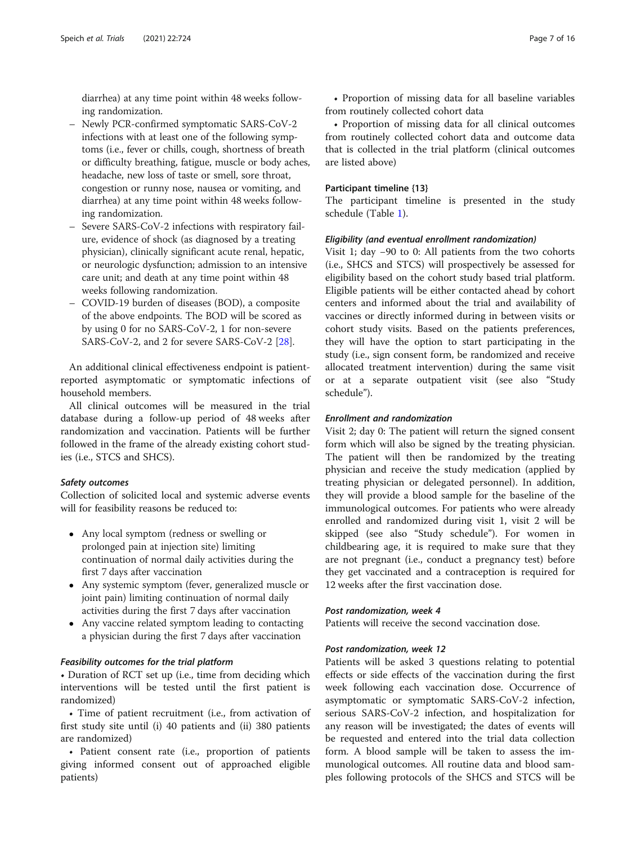diarrhea) at any time point within 48 weeks following randomization.

- Newly PCR-confirmed symptomatic SARS-CoV-2 infections with at least one of the following symptoms (i.e., fever or chills, cough, shortness of breath or difficulty breathing, fatigue, muscle or body aches, headache, new loss of taste or smell, sore throat, congestion or runny nose, nausea or vomiting, and diarrhea) at any time point within 48 weeks following randomization.
- Severe SARS-CoV-2 infections with respiratory failure, evidence of shock (as diagnosed by a treating physician), clinically significant acute renal, hepatic, or neurologic dysfunction; admission to an intensive care unit; and death at any time point within 48 weeks following randomization.
- COVID-19 burden of diseases (BOD), a composite of the above endpoints. The BOD will be scored as by using 0 for no SARS-CoV-2, 1 for non-severe SARS-CoV-2, and 2 for severe SARS-CoV-2 [\[28\]](#page-14-0).

An additional clinical effectiveness endpoint is patientreported asymptomatic or symptomatic infections of household members.

All clinical outcomes will be measured in the trial database during a follow-up period of 48 weeks after randomization and vaccination. Patients will be further followed in the frame of the already existing cohort studies (i.e., STCS and SHCS).

#### Safety outcomes

Collection of solicited local and systemic adverse events will for feasibility reasons be reduced to:

- Any local symptom (redness or swelling or prolonged pain at injection site) limiting continuation of normal daily activities during the first 7 days after vaccination
- Any systemic symptom (fever, generalized muscle or joint pain) limiting continuation of normal daily activities during the first 7 days after vaccination
- Any vaccine related symptom leading to contacting a physician during the first 7 days after vaccination

#### Feasibility outcomes for the trial platform

• Duration of RCT set up (i.e., time from deciding which interventions will be tested until the first patient is randomized)

• Time of patient recruitment (i.e., from activation of first study site until (i) 40 patients and (ii) 380 patients are randomized)

• Patient consent rate (i.e., proportion of patients giving informed consent out of approached eligible patients)

• Proportion of missing data for all baseline variables from routinely collected cohort data

• Proportion of missing data for all clinical outcomes from routinely collected cohort data and outcome data that is collected in the trial platform (clinical outcomes are listed above)

#### Participant timeline {13}

The participant timeline is presented in the study schedule (Table [1](#page-7-0)).

# Eligibility (and eventual enrollment randomization)

Visit 1; day −90 to 0: All patients from the two cohorts (i.e., SHCS and STCS) will prospectively be assessed for eligibility based on the cohort study based trial platform. Eligible patients will be either contacted ahead by cohort centers and informed about the trial and availability of vaccines or directly informed during in between visits or cohort study visits. Based on the patients preferences, they will have the option to start participating in the study (i.e., sign consent form, be randomized and receive allocated treatment intervention) during the same visit or at a separate outpatient visit (see also "Study schedule").

#### Enrollment and randomization

Visit 2; day 0: The patient will return the signed consent form which will also be signed by the treating physician. The patient will then be randomized by the treating physician and receive the study medication (applied by treating physician or delegated personnel). In addition, they will provide a blood sample for the baseline of the immunological outcomes. For patients who were already enrolled and randomized during visit 1, visit 2 will be skipped (see also "Study schedule"). For women in childbearing age, it is required to make sure that they are not pregnant (i.e., conduct a pregnancy test) before they get vaccinated and a contraception is required for 12 weeks after the first vaccination dose.

#### Post randomization, week 4

Patients will receive the second vaccination dose.

#### Post randomization, week 12

Patients will be asked 3 questions relating to potential effects or side effects of the vaccination during the first week following each vaccination dose. Occurrence of asymptomatic or symptomatic SARS-CoV-2 infection, serious SARS-CoV-2 infection, and hospitalization for any reason will be investigated; the dates of events will be requested and entered into the trial data collection form. A blood sample will be taken to assess the immunological outcomes. All routine data and blood samples following protocols of the SHCS and STCS will be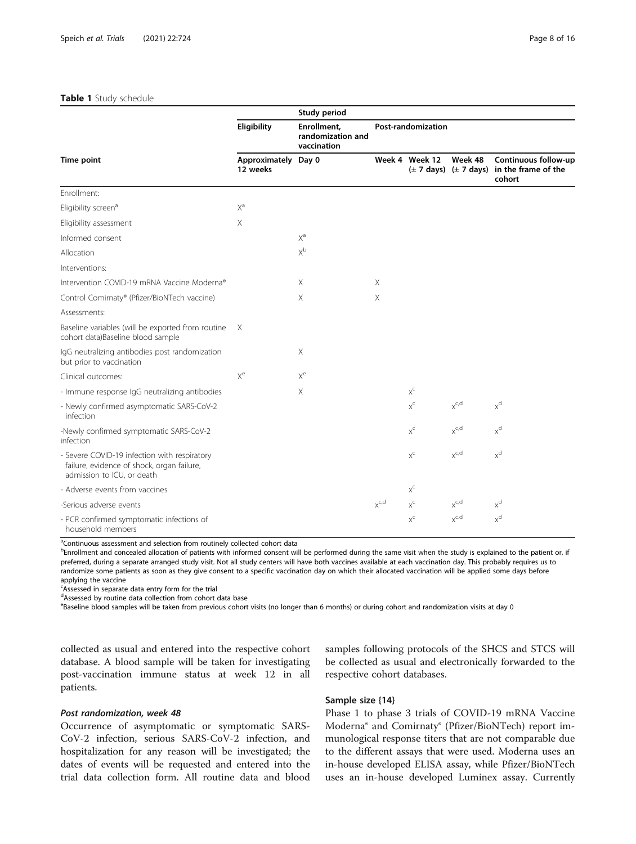#### <span id="page-7-0"></span>Table 1 Study schedule

|                                                                                                                          | Eligibility<br>Approximately Day 0<br>12 weeks | Enrollment,<br>randomization and<br>vaccination |           | Post-randomization      |           |                                                                                                     |
|--------------------------------------------------------------------------------------------------------------------------|------------------------------------------------|-------------------------------------------------|-----------|-------------------------|-----------|-----------------------------------------------------------------------------------------------------|
| Time point                                                                                                               |                                                |                                                 |           | Week 4 Week 12          | Week 48   | Continuous follow-up<br>$(\pm 7 \text{ days})$ $(\pm 7 \text{ days})$ in the frame of the<br>cohort |
| Enrollment:                                                                                                              |                                                |                                                 |           |                         |           |                                                                                                     |
| Eligibility screen <sup>a</sup>                                                                                          | $X^a$                                          |                                                 |           |                         |           |                                                                                                     |
| Eligibility assessment                                                                                                   | $\times$                                       |                                                 |           |                         |           |                                                                                                     |
| Informed consent                                                                                                         |                                                | $X^a$                                           |           |                         |           |                                                                                                     |
| Allocation                                                                                                               |                                                | $X^b$                                           |           |                         |           |                                                                                                     |
| Interventions:                                                                                                           |                                                |                                                 |           |                         |           |                                                                                                     |
| Intervention COVID-19 mRNA Vaccine Moderna®                                                                              |                                                | Χ                                               | Χ         |                         |           |                                                                                                     |
| Control Comirnaty® (Pfizer/BioNTech vaccine)                                                                             |                                                | X                                               | Χ         |                         |           |                                                                                                     |
| Assessments:                                                                                                             |                                                |                                                 |           |                         |           |                                                                                                     |
| Baseline variables (will be exported from routine<br>cohort data)Baseline blood sample                                   | X                                              |                                                 |           |                         |           |                                                                                                     |
| IgG neutralizing antibodies post randomization<br>but prior to vaccination                                               |                                                | X                                               |           |                         |           |                                                                                                     |
| Clinical outcomes:                                                                                                       | $X^e$                                          | $X^e$                                           |           |                         |           |                                                                                                     |
| - Immune response IgG neutralizing antibodies                                                                            |                                                | Χ                                               |           | $\mathsf{x}^\mathsf{c}$ |           |                                                                                                     |
| - Newly confirmed asymptomatic SARS-CoV-2<br>infection                                                                   |                                                |                                                 |           | $x^c$                   | $x^{c,d}$ | $x^d$                                                                                               |
| -Newly confirmed symptomatic SARS-CoV-2<br>infection                                                                     |                                                |                                                 |           | $x^c$                   | $x^{c,d}$ | $x^d$                                                                                               |
| - Severe COVID-19 infection with respiratory<br>failure, evidence of shock, organ failure,<br>admission to ICU, or death |                                                |                                                 |           | $\mathsf{x}^\mathsf{c}$ | $x^{c,d}$ | $x^d$                                                                                               |
| - Adverse events from vaccines                                                                                           |                                                |                                                 |           | $x^c$                   |           |                                                                                                     |
| -Serious adverse events                                                                                                  |                                                |                                                 | $x^{c,d}$ | $\mathsf{x}^\mathsf{c}$ | $x^{c,d}$ | $x^d$                                                                                               |
| - PCR confirmed symptomatic infections of<br>household members                                                           |                                                |                                                 |           | $\mathsf{x}^\mathsf{c}$ | $x^{c.d}$ | $x^d$                                                                                               |

<sup>a</sup>Continuous assessment and selection from routinely collected cohort data

**E**nrollment and concealed allocation of patients with informed consent will be performed during the same visit when the study is explained to the patient or, if preferred, during a separate arranged study visit. Not all study centers will have both vaccines available at each vaccination day. This probably requires us to randomize some patients as soon as they give consent to a specific vaccination day on which their allocated vaccination will be applied some days before applying the vaccine

<sup>c</sup>Assessed in separate data entry form for the trial

dAssessed by routine data collection from cohort data base

e<br>Baseline blood samples will be taken from previous cohort visits (no longer than 6 months) or during cohort and randomization visits at day 0

collected as usual and entered into the respective cohort database. A blood sample will be taken for investigating post-vaccination immune status at week 12 in all patients.

#### Post randomization, week 48

Occurrence of asymptomatic or symptomatic SARS-CoV-2 infection, serious SARS-CoV-2 infection, and hospitalization for any reason will be investigated; the dates of events will be requested and entered into the trial data collection form. All routine data and blood samples following protocols of the SHCS and STCS will be collected as usual and electronically forwarded to the respective cohort databases.

#### Sample size {14}

Phase 1 to phase 3 trials of COVID-19 mRNA Vaccine Moderna® and Comirnaty® (Pfizer/BioNTech) report immunological response titers that are not comparable due to the different assays that were used. Moderna uses an in-house developed ELISA assay, while Pfizer/BioNTech uses an in-house developed Luminex assay. Currently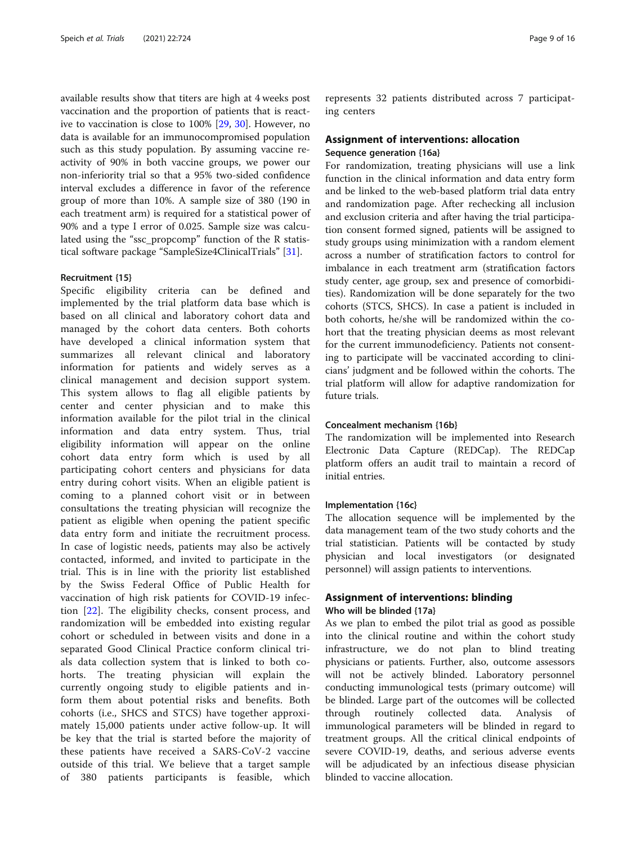available results show that titers are high at 4 weeks post vaccination and the proportion of patients that is reactive to vaccination is close to 100% [[29,](#page-14-0) [30\]](#page-14-0). However, no data is available for an immunocompromised population such as this study population. By assuming vaccine reactivity of 90% in both vaccine groups, we power our non-inferiority trial so that a 95% two-sided confidence interval excludes a difference in favor of the reference group of more than 10%. A sample size of 380 (190 in each treatment arm) is required for a statistical power of 90% and a type I error of 0.025. Sample size was calculated using the "ssc\_propcomp" function of the R statistical software package "SampleSize4ClinicalTrials" [\[31\]](#page-14-0).

#### Recruitment {15}

Specific eligibility criteria can be defined and implemented by the trial platform data base which is based on all clinical and laboratory cohort data and managed by the cohort data centers. Both cohorts have developed a clinical information system that summarizes all relevant clinical and laboratory information for patients and widely serves as a clinical management and decision support system. This system allows to flag all eligible patients by center and center physician and to make this information available for the pilot trial in the clinical information and data entry system. Thus, trial eligibility information will appear on the online cohort data entry form which is used by all participating cohort centers and physicians for data entry during cohort visits. When an eligible patient is coming to a planned cohort visit or in between consultations the treating physician will recognize the patient as eligible when opening the patient specific data entry form and initiate the recruitment process. In case of logistic needs, patients may also be actively contacted, informed, and invited to participate in the trial. This is in line with the priority list established by the Swiss Federal Office of Public Health for vaccination of high risk patients for COVID-19 infection [\[22](#page-14-0)]. The eligibility checks, consent process, and randomization will be embedded into existing regular cohort or scheduled in between visits and done in a separated Good Clinical Practice conform clinical trials data collection system that is linked to both cohorts. The treating physician will explain the currently ongoing study to eligible patients and inform them about potential risks and benefits. Both cohorts (i.e., SHCS and STCS) have together approximately 15,000 patients under active follow-up. It will be key that the trial is started before the majority of these patients have received a SARS-CoV-2 vaccine outside of this trial. We believe that a target sample of 380 patients participants is feasible, which

represents 32 patients distributed across 7 participating centers

### Assignment of interventions: allocation Sequence generation {16a}

For randomization, treating physicians will use a link function in the clinical information and data entry form and be linked to the web-based platform trial data entry and randomization page. After rechecking all inclusion and exclusion criteria and after having the trial participation consent formed signed, patients will be assigned to study groups using minimization with a random element across a number of stratification factors to control for imbalance in each treatment arm (stratification factors study center, age group, sex and presence of comorbidities). Randomization will be done separately for the two cohorts (STCS, SHCS). In case a patient is included in both cohorts, he/she will be randomized within the cohort that the treating physician deems as most relevant for the current immunodeficiency. Patients not consenting to participate will be vaccinated according to clinicians' judgment and be followed within the cohorts. The trial platform will allow for adaptive randomization for future trials.

#### Concealment mechanism {16b}

The randomization will be implemented into Research Electronic Data Capture (REDCap). The REDCap platform offers an audit trail to maintain a record of initial entries.

#### Implementation {16c}

The allocation sequence will be implemented by the data management team of the two study cohorts and the trial statistician. Patients will be contacted by study physician and local investigators (or designated personnel) will assign patients to interventions.

#### Assignment of interventions: blinding Who will be blinded {17a}

As we plan to embed the pilot trial as good as possible into the clinical routine and within the cohort study infrastructure, we do not plan to blind treating physicians or patients. Further, also, outcome assessors will not be actively blinded. Laboratory personnel conducting immunological tests (primary outcome) will be blinded. Large part of the outcomes will be collected through routinely collected data. Analysis of immunological parameters will be blinded in regard to treatment groups. All the critical clinical endpoints of severe COVID-19, deaths, and serious adverse events will be adjudicated by an infectious disease physician blinded to vaccine allocation.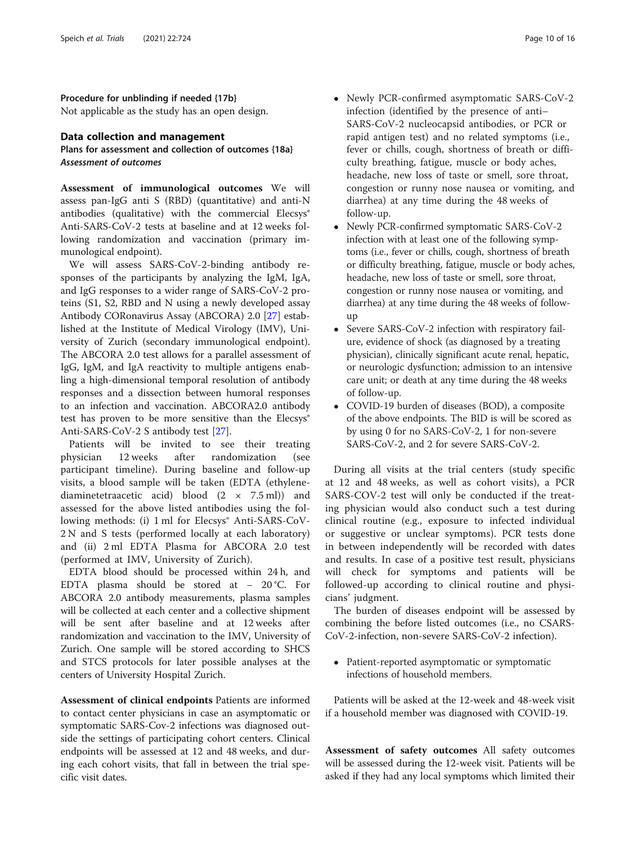Procedure for unblinding if needed {17b} Not applicable as the study has an open design.

#### Data collection and management

Plans for assessment and collection of outcomes {18a} Assessment of outcomes

Assessment of immunological outcomes We will assess pan-IgG anti S (RBD) (quantitative) and anti-N antibodies (qualitative) with the commercial Elecsys® Anti-SARS-CoV-2 tests at baseline and at 12 weeks following randomization and vaccination (primary immunological endpoint).

We will assess SARS-CoV-2-binding antibody responses of the participants by analyzing the IgM, IgA, and IgG responses to a wider range of SARS-CoV-2 proteins (S1, S2, RBD and N using a newly developed assay Antibody CORonavirus Assay (ABCORA) 2.0 [[27\]](#page-14-0) established at the Institute of Medical Virology (IMV), University of Zurich (secondary immunological endpoint). The ABCORA 2.0 test allows for a parallel assessment of IgG, IgM, and IgA reactivity to multiple antigens enabling a high-dimensional temporal resolution of antibody responses and a dissection between humoral responses to an infection and vaccination. ABCORA2.0 antibody test has proven to be more sensitive than the Elecsys® Anti-SARS-CoV-2 S antibody test [[27\]](#page-14-0).

Patients will be invited to see their treating physician 12 weeks after randomization (see participant timeline). During baseline and follow-up visits, a blood sample will be taken (EDTA (ethylenediaminetetraacetic acid) blood (2 × 7.5 ml)) and assessed for the above listed antibodies using the following methods: (i) 1 ml for Elecsys® Anti-SARS-CoV-2 N and S tests (performed locally at each laboratory) and (ii) 2 ml EDTA Plasma for ABCORA 2.0 test (performed at IMV, University of Zurich).

EDTA blood should be processed within 24 h, and EDTA plasma should be stored at − 20 °C. For ABCORA 2.0 antibody measurements, plasma samples will be collected at each center and a collective shipment will be sent after baseline and at 12 weeks after randomization and vaccination to the IMV, University of Zurich. One sample will be stored according to SHCS and STCS protocols for later possible analyses at the centers of University Hospital Zurich.

Assessment of clinical endpoints Patients are informed to contact center physicians in case an asymptomatic or symptomatic SARS-Cov-2 infections was diagnosed outside the settings of participating cohort centers. Clinical endpoints will be assessed at 12 and 48 weeks, and during each cohort visits, that fall in between the trial specific visit dates.

- Newly PCR-confirmed asymptomatic SARS-CoV-2 infection (identified by the presence of anti– SARS-CoV-2 nucleocapsid antibodies, or PCR or rapid antigen test) and no related symptoms (i.e., fever or chills, cough, shortness of breath or difficulty breathing, fatigue, muscle or body aches, headache, new loss of taste or smell, sore throat, congestion or runny nose nausea or vomiting, and diarrhea) at any time during the 48 weeks of follow-up.
- Newly PCR-confirmed symptomatic SARS-CoV-2 infection with at least one of the following symptoms (i.e., fever or chills, cough, shortness of breath or difficulty breathing, fatigue, muscle or body aches, headache, new loss of taste or smell, sore throat, congestion or runny nose nausea or vomiting, and diarrhea) at any time during the 48 weeks of followup
- Severe SARS-CoV-2 infection with respiratory failure, evidence of shock (as diagnosed by a treating physician), clinically significant acute renal, hepatic, or neurologic dysfunction; admission to an intensive care unit; or death at any time during the 48 weeks of follow-up.
- COVID-19 burden of diseases (BOD), a composite of the above endpoints. The BID is will be scored as by using 0 for no SARS-CoV-2, 1 for non-severe SARS-CoV-2, and 2 for severe SARS-CoV-2.

During all visits at the trial centers (study specific at 12 and 48 weeks, as well as cohort visits), a PCR SARS-COV-2 test will only be conducted if the treating physician would also conduct such a test during clinical routine (e.g., exposure to infected individual or suggestive or unclear symptoms). PCR tests done in between independently will be recorded with dates and results. In case of a positive test result, physicians will check for symptoms and patients will be followed-up according to clinical routine and physicians' judgment.

The burden of diseases endpoint will be assessed by combining the before listed outcomes (i.e., no CSARS-CoV-2-infection, non-severe SARS-CoV-2 infection).

 Patient-reported asymptomatic or symptomatic infections of household members.

Patients will be asked at the 12-week and 48-week visit if a household member was diagnosed with COVID-19.

Assessment of safety outcomes All safety outcomes will be assessed during the 12-week visit. Patients will be asked if they had any local symptoms which limited their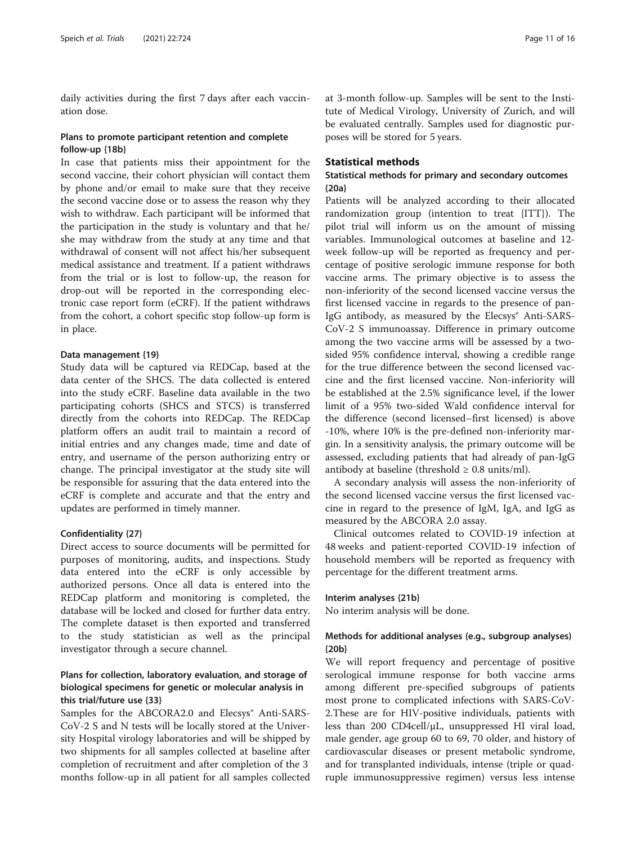daily activities during the first 7 days after each vaccination dose.

#### Plans to promote participant retention and complete follow-up {18b}

In case that patients miss their appointment for the second vaccine, their cohort physician will contact them by phone and/or email to make sure that they receive the second vaccine dose or to assess the reason why they wish to withdraw. Each participant will be informed that the participation in the study is voluntary and that he/ she may withdraw from the study at any time and that withdrawal of consent will not affect his/her subsequent medical assistance and treatment. If a patient withdraws from the trial or is lost to follow-up, the reason for drop-out will be reported in the corresponding electronic case report form (eCRF). If the patient withdraws from the cohort, a cohort specific stop follow-up form is in place.

#### Data management {19}

Study data will be captured via REDCap, based at the data center of the SHCS. The data collected is entered into the study eCRF. Baseline data available in the two participating cohorts (SHCS and STCS) is transferred directly from the cohorts into REDCap. The REDCap platform offers an audit trail to maintain a record of initial entries and any changes made, time and date of entry, and username of the person authorizing entry or change. The principal investigator at the study site will be responsible for assuring that the data entered into the eCRF is complete and accurate and that the entry and updates are performed in timely manner.

#### Confidentiality {27}

Direct access to source documents will be permitted for purposes of monitoring, audits, and inspections. Study data entered into the eCRF is only accessible by authorized persons. Once all data is entered into the REDCap platform and monitoring is completed, the database will be locked and closed for further data entry. The complete dataset is then exported and transferred to the study statistician as well as the principal investigator through a secure channel.

#### Plans for collection, laboratory evaluation, and storage of biological specimens for genetic or molecular analysis in this trial/future use {33}

Samples for the ABCORA2.0 and Elecsys® Anti-SARS-CoV-2 S and N tests will be locally stored at the University Hospital virology laboratories and will be shipped by two shipments for all samples collected at baseline after completion of recruitment and after completion of the 3 months follow-up in all patient for all samples collected at 3-month follow-up. Samples will be sent to the Institute of Medical Virology, University of Zurich, and will be evaluated centrally. Samples used for diagnostic purposes will be stored for 5 years.

#### Statistical methods

#### Statistical methods for primary and secondary outcomes {20a}

Patients will be analyzed according to their allocated randomization group (intention to treat {ITT}). The pilot trial will inform us on the amount of missing variables. Immunological outcomes at baseline and 12 week follow-up will be reported as frequency and percentage of positive serologic immune response for both vaccine arms. The primary objective is to assess the non-inferiority of the second licensed vaccine versus the first licensed vaccine in regards to the presence of pan-IgG antibody, as measured by the Elecsys® Anti-SARS-CoV-2 S immunoassay. Difference in primary outcome among the two vaccine arms will be assessed by a twosided 95% confidence interval, showing a credible range for the true difference between the second licensed vaccine and the first licensed vaccine. Non-inferiority will be established at the 2.5% significance level, if the lower limit of a 95% two-sided Wald confidence interval for the difference (second licensed–first licensed) is above -10%, where 10% is the pre-defined non-inferiority margin. In a sensitivity analysis, the primary outcome will be assessed, excluding patients that had already of pan-IgG antibody at baseline (threshold  $\geq 0.8$  units/ml).

A secondary analysis will assess the non-inferiority of the second licensed vaccine versus the first licensed vaccine in regard to the presence of IgM, IgA, and IgG as measured by the ABCORA 2.0 assay.

Clinical outcomes related to COVID-19 infection at 48 weeks and patient-reported COVID-19 infection of household members will be reported as frequency with percentage for the different treatment arms.

#### Interim analyses {21b}

No interim analysis will be done.

#### Methods for additional analyses (e.g., subgroup analyses) {20b}

We will report frequency and percentage of positive serological immune response for both vaccine arms among different pre-specified subgroups of patients most prone to complicated infections with SARS-CoV-2.These are for HIV-positive individuals, patients with less than 200 CD4cell/μL, unsuppressed HI viral load, male gender, age group 60 to 69, 70 older, and history of cardiovascular diseases or present metabolic syndrome, and for transplanted individuals, intense (triple or quadruple immunosuppressive regimen) versus less intense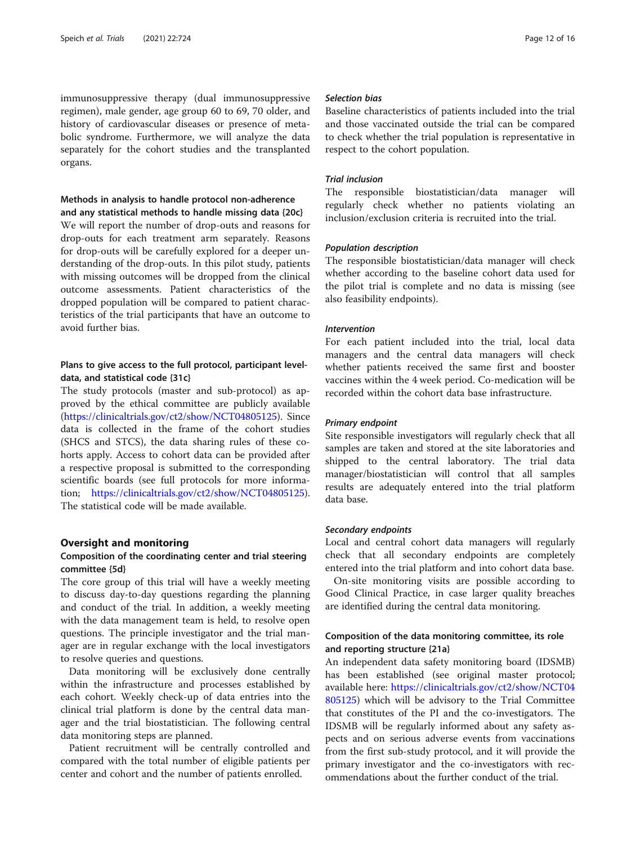immunosuppressive therapy (dual immunosuppressive regimen), male gender, age group 60 to 69, 70 older, and history of cardiovascular diseases or presence of metabolic syndrome. Furthermore, we will analyze the data separately for the cohort studies and the transplanted organs.

#### Methods in analysis to handle protocol non-adherence and any statistical methods to handle missing data {20c}

We will report the number of drop-outs and reasons for drop-outs for each treatment arm separately. Reasons for drop-outs will be carefully explored for a deeper understanding of the drop-outs. In this pilot study, patients with missing outcomes will be dropped from the clinical outcome assessments. Patient characteristics of the dropped population will be compared to patient characteristics of the trial participants that have an outcome to avoid further bias.

# Plans to give access to the full protocol, participant leveldata, and statistical code {31c}

The study protocols (master and sub-protocol) as approved by the ethical committee are publicly available (<https://clinicaltrials.gov/ct2/show/NCT04805125>). Since data is collected in the frame of the cohort studies (SHCS and STCS), the data sharing rules of these cohorts apply. Access to cohort data can be provided after a respective proposal is submitted to the corresponding scientific boards (see full protocols for more information; <https://clinicaltrials.gov/ct2/show/NCT04805125>). The statistical code will be made available.

#### Oversight and monitoring

#### Composition of the coordinating center and trial steering committee {5d}

The core group of this trial will have a weekly meeting to discuss day-to-day questions regarding the planning and conduct of the trial. In addition, a weekly meeting with the data management team is held, to resolve open questions. The principle investigator and the trial manager are in regular exchange with the local investigators to resolve queries and questions.

Data monitoring will be exclusively done centrally within the infrastructure and processes established by each cohort. Weekly check-up of data entries into the clinical trial platform is done by the central data manager and the trial biostatistician. The following central data monitoring steps are planned.

Patient recruitment will be centrally controlled and compared with the total number of eligible patients per center and cohort and the number of patients enrolled.

#### Selection bias

Baseline characteristics of patients included into the trial and those vaccinated outside the trial can be compared to check whether the trial population is representative in respect to the cohort population.

#### Trial inclusion

The responsible biostatistician/data manager will regularly check whether no patients violating an inclusion/exclusion criteria is recruited into the trial.

#### Population description

The responsible biostatistician/data manager will check whether according to the baseline cohort data used for the pilot trial is complete and no data is missing (see also feasibility endpoints).

#### Intervention

For each patient included into the trial, local data managers and the central data managers will check whether patients received the same first and booster vaccines within the 4 week period. Co-medication will be recorded within the cohort data base infrastructure.

#### Primary endpoint

Site responsible investigators will regularly check that all samples are taken and stored at the site laboratories and shipped to the central laboratory. The trial data manager/biostatistician will control that all samples results are adequately entered into the trial platform data base.

#### Secondary endpoints

Local and central cohort data managers will regularly check that all secondary endpoints are completely entered into the trial platform and into cohort data base.

On-site monitoring visits are possible according to Good Clinical Practice, in case larger quality breaches are identified during the central data monitoring.

# Composition of the data monitoring committee, its role and reporting structure {21a}

An independent data safety monitoring board (IDSMB) has been established (see original master protocol; available here: [https://clinicaltrials.gov/ct2/show/NCT04](https://clinicaltrials.gov/ct2/show/NCT04805125) [805125](https://clinicaltrials.gov/ct2/show/NCT04805125)) which will be advisory to the Trial Committee that constitutes of the PI and the co-investigators. The IDSMB will be regularly informed about any safety aspects and on serious adverse events from vaccinations from the first sub-study protocol, and it will provide the primary investigator and the co-investigators with recommendations about the further conduct of the trial.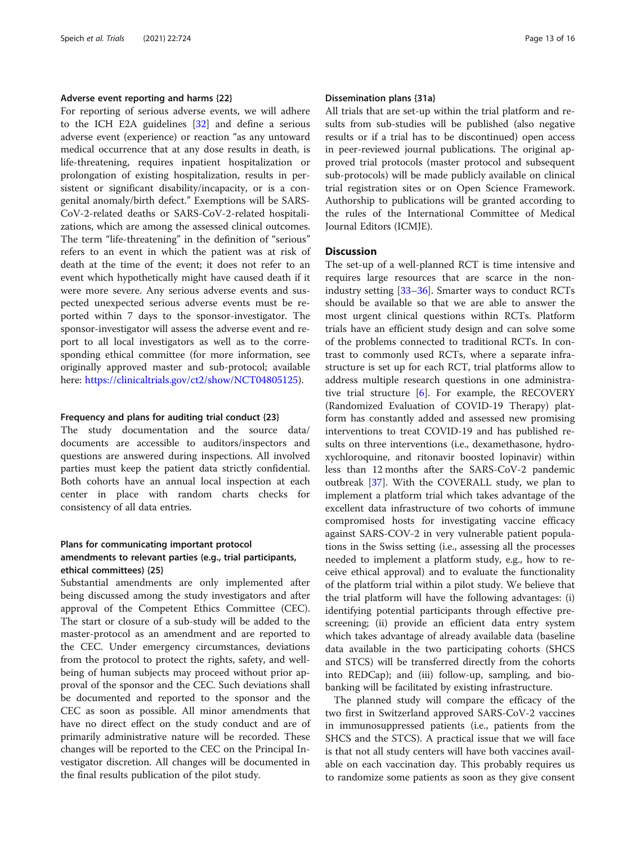#### Adverse event reporting and harms {22}

For reporting of serious adverse events, we will adhere to the ICH E2A guidelines [\[32](#page-14-0)] and define a serious adverse event (experience) or reaction "as any untoward medical occurrence that at any dose results in death, is life-threatening, requires inpatient hospitalization or prolongation of existing hospitalization, results in persistent or significant disability/incapacity, or is a congenital anomaly/birth defect." Exemptions will be SARS-CoV-2-related deaths or SARS-CoV-2-related hospitalizations, which are among the assessed clinical outcomes. The term "life-threatening" in the definition of "serious" refers to an event in which the patient was at risk of death at the time of the event; it does not refer to an event which hypothetically might have caused death if it were more severe. Any serious adverse events and suspected unexpected serious adverse events must be reported within 7 days to the sponsor-investigator. The sponsor-investigator will assess the adverse event and report to all local investigators as well as to the corresponding ethical committee (for more information, see originally approved master and sub-protocol; available here: <https://clinicaltrials.gov/ct2/show/NCT04805125>).

#### Frequency and plans for auditing trial conduct {23}

The study documentation and the source data/ documents are accessible to auditors/inspectors and questions are answered during inspections. All involved parties must keep the patient data strictly confidential. Both cohorts have an annual local inspection at each center in place with random charts checks for consistency of all data entries.

## Plans for communicating important protocol amendments to relevant parties (e.g., trial participants, ethical committees) {25}

Substantial amendments are only implemented after being discussed among the study investigators and after approval of the Competent Ethics Committee (CEC). The start or closure of a sub-study will be added to the master-protocol as an amendment and are reported to the CEC. Under emergency circumstances, deviations from the protocol to protect the rights, safety, and wellbeing of human subjects may proceed without prior approval of the sponsor and the CEC. Such deviations shall be documented and reported to the sponsor and the CEC as soon as possible. All minor amendments that have no direct effect on the study conduct and are of primarily administrative nature will be recorded. These changes will be reported to the CEC on the Principal Investigator discretion. All changes will be documented in the final results publication of the pilot study.

#### Dissemination plans {31a}

All trials that are set-up within the trial platform and results from sub-studies will be published (also negative results or if a trial has to be discontinued) open access in peer-reviewed journal publications. The original approved trial protocols (master protocol and subsequent sub-protocols) will be made publicly available on clinical trial registration sites or on Open Science Framework. Authorship to publications will be granted according to the rules of the International Committee of Medical Journal Editors (ICMJE).

#### **Discussion**

The set-up of a well-planned RCT is time intensive and requires large resources that are scarce in the nonindustry setting [\[33](#page-14-0)–[36\]](#page-15-0). Smarter ways to conduct RCTs should be available so that we are able to answer the most urgent clinical questions within RCTs. Platform trials have an efficient study design and can solve some of the problems connected to traditional RCTs. In contrast to commonly used RCTs, where a separate infrastructure is set up for each RCT, trial platforms allow to address multiple research questions in one administrative trial structure  $[6]$  $[6]$ . For example, the RECOVERY (Randomized Evaluation of COVID-19 Therapy) platform has constantly added and assessed new promising interventions to treat COVID-19 and has published results on three interventions (i.e., dexamethasone, hydroxychloroquine, and ritonavir boosted lopinavir) within less than 12 months after the SARS-CoV-2 pandemic outbreak [\[37](#page-15-0)]. With the COVERALL study, we plan to implement a platform trial which takes advantage of the excellent data infrastructure of two cohorts of immune compromised hosts for investigating vaccine efficacy against SARS-COV-2 in very vulnerable patient populations in the Swiss setting (i.e., assessing all the processes needed to implement a platform study, e.g., how to receive ethical approval) and to evaluate the functionality of the platform trial within a pilot study. We believe that the trial platform will have the following advantages: (i) identifying potential participants through effective prescreening; (ii) provide an efficient data entry system which takes advantage of already available data (baseline data available in the two participating cohorts (SHCS and STCS) will be transferred directly from the cohorts into REDCap); and (iii) follow-up, sampling, and biobanking will be facilitated by existing infrastructure.

The planned study will compare the efficacy of the two first in Switzerland approved SARS-CoV-2 vaccines in immunosuppressed patients (i.e., patients from the SHCS and the STCS). A practical issue that we will face is that not all study centers will have both vaccines available on each vaccination day. This probably requires us to randomize some patients as soon as they give consent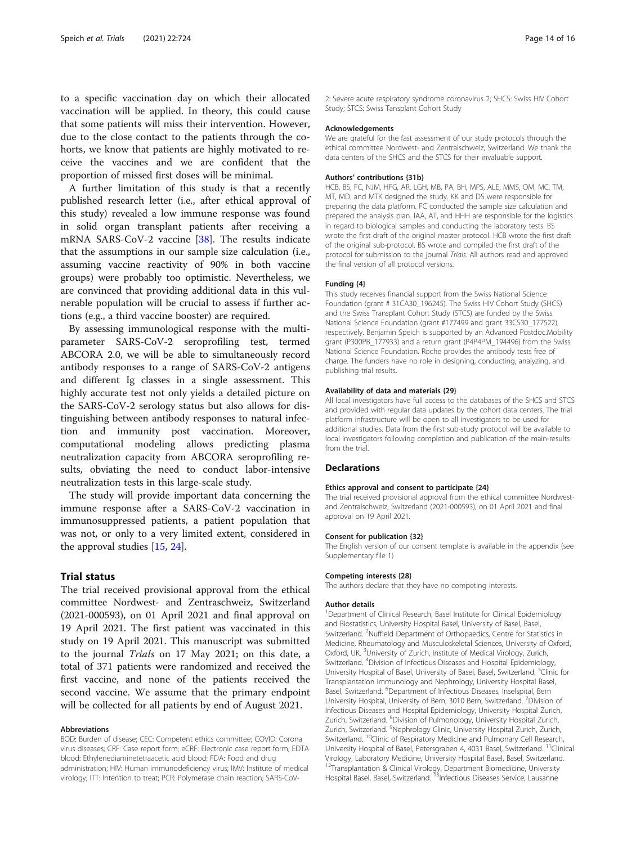to a specific vaccination day on which their allocated vaccination will be applied. In theory, this could cause that some patients will miss their intervention. However, due to the close contact to the patients through the cohorts, we know that patients are highly motivated to receive the vaccines and we are confident that the proportion of missed first doses will be minimal.

A further limitation of this study is that a recently published research letter (i.e., after ethical approval of this study) revealed a low immune response was found in solid organ transplant patients after receiving a mRNA SARS-CoV-2 vaccine [\[38](#page-15-0)]. The results indicate that the assumptions in our sample size calculation (i.e., assuming vaccine reactivity of 90% in both vaccine groups) were probably too optimistic. Nevertheless, we are convinced that providing additional data in this vulnerable population will be crucial to assess if further actions (e.g., a third vaccine booster) are required.

By assessing immunological response with the multiparameter SARS-CoV-2 seroprofiling test, termed ABCORA 2.0, we will be able to simultaneously record antibody responses to a range of SARS-CoV-2 antigens and different Ig classes in a single assessment. This highly accurate test not only yields a detailed picture on the SARS-CoV-2 serology status but also allows for distinguishing between antibody responses to natural infection and immunity post vaccination. Moreover, computational modeling allows predicting plasma neutralization capacity from ABCORA seroprofiling results, obviating the need to conduct labor-intensive neutralization tests in this large-scale study.

The study will provide important data concerning the immune response after a SARS-CoV-2 vaccination in immunosuppressed patients, a patient population that was not, or only to a very limited extent, considered in the approval studies [[15,](#page-14-0) [24\]](#page-14-0).

#### Trial status

The trial received provisional approval from the ethical committee Nordwest- and Zentraschweiz, Switzerland (2021-000593), on 01 April 2021 and final approval on 19 April 2021. The first patient was vaccinated in this study on 19 April 2021. This manuscript was submitted to the journal Trials on 17 May 2021; on this date, a total of 371 patients were randomized and received the first vaccine, and none of the patients received the second vaccine. We assume that the primary endpoint will be collected for all patients by end of August 2021.

#### Abbreviations

BOD: Burden of disease; CEC: Competent ethics committee; COVID: Corona virus diseases; CRF: Case report form; eCRF: Electronic case report form; EDTA blood: Ethylenediaminetetraacetic acid blood; FDA: Food and drug administration; HIV: Human immunodeficiency virus; IMV: Institute of medical virology; ITT: Intention to treat; PCR: Polymerase chain reaction; SARS-CoV-

2: Severe acute respiratory syndrome coronavirus 2; SHCS: Swiss HIV Cohort Study; STCS: Swiss Tansplant Cohort Study

#### Acknowledgements

We are grateful for the fast assessment of our study protocols through the ethical committee Nordwest- and Zentralschweiz, Switzerland. We thank the data centers of the SHCS and the STCS for their invaluable support.

#### Authors' contributions {31b}

HCB, BS, FC, NJM, HFG, AR, LGH, MB, PA, BH, MPS, ALE, MMS, OM, MC, TM, MT, MD, and MTK designed the study. KK and DS were responsible for preparing the data platform. FC conducted the sample size calculation and prepared the analysis plan. IAA, AT, and HHH are responsible for the logistics in regard to biological samples and conducting the laboratory tests. BS wrote the first draft of the original master protocol. HCB wrote the first draft of the original sub-protocol. BS wrote and compiled the first draft of the protocol for submission to the journal Trials. All authors read and approved the final version of all protocol versions.

#### Funding {4}

This study receives financial support from the Swiss National Science Foundation (grant # 31CA30\_196245). The Swiss HIV Cohort Study (SHCS) and the Swiss Transplant Cohort Study (STCS) are funded by the Swiss National Science Foundation (grant #177499 and grant 33CS30\_177522), respectively. Benjamin Speich is supported by an Advanced Postdoc.Mobility grant (P300PB\_177933) and a return grant (P4P4PM\_194496) from the Swiss National Science Foundation. Roche provides the antibody tests free of charge. The funders have no role in designing, conducting, analyzing, and publishing trial results.

#### Availability of data and materials {29}

All local investigators have full access to the databases of the SHCS and STCS and provided with regular data updates by the cohort data centers. The trial platform infrastructure will be open to all investigators to be used for additional studies. Data from the first sub-study protocol will be available to local investigators following completion and publication of the main-results from the trial.

#### **Declarations**

#### Ethics approval and consent to participate {24}

The trial received provisional approval from the ethical committee Nordwestand Zentralschweiz, Switzerland (2021-000593), on 01 April 2021 and final approval on 19 April 2021.

#### Consent for publication {32}

The English version of our consent template is available in the appendix (see Supplementary file 1)

#### Competing interests {28}

The authors declare that they have no competing interests.

#### Author details

<sup>1</sup>Department of Clinical Research, Basel Institute for Clinical Epidemiology and Biostatistics, University Hospital Basel, University of Basel, Basel, Switzerland. <sup>2</sup>Nuffield Department of Orthopaedics, Centre for Statistics in Medicine, Rheumatology and Musculoskeletal Sciences, University of Oxford, Oxford, UK.<sup>3</sup>University of Zurich, Institute of Medical Virology, Zurich Switzerland. <sup>4</sup>Division of Infectious Diseases and Hospital Epidemiology University Hospital of Basel, University of Basel, Basel, Switzerland. <sup>5</sup>Clinic for Transplantation Immunology and Nephrology, University Hospital Basel, Basel, Switzerland. <sup>6</sup>Department of Infectious Diseases, Inselspital, Bern University Hospital, University of Bern, 3010 Bern, Switzerland. <sup>7</sup> Division of Infectious Diseases and Hospital Epidemiology, University Hospital Zurich, Zurich, Switzerland. <sup>8</sup> Division of Pulmonology, University Hospital Zurich, Zurich, Switzerland. <sup>9</sup>Nephrology Clinic, University Hospital Zurich, Zurich, Switzerland. <sup>10</sup>Clinic of Respiratory Medicine and Pulmonary Cell Research, University Hospital of Basel, Petersgraben 4, 4031 Basel, Switzerland. <sup>11</sup>Clinical Virology, Laboratory Medicine, University Hospital Basel, Basel, Switzerland. <sup>12</sup>Transplantation & Clinical Virology, Department Biomedicine, University Hospital Basel, Basel, Switzerland. <sup>13</sup>Infectious Diseases Service, Lausanne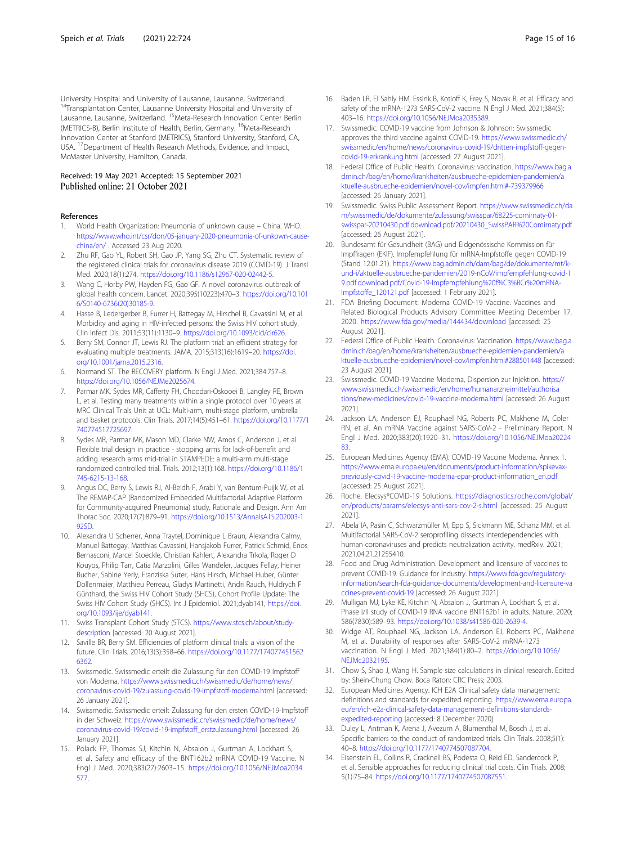<span id="page-14-0"></span>University Hospital and University of Lausanne, Lausanne, Switzerland. <sup>14</sup>Transplantation Center, Lausanne University Hospital and University of Lausanne, Lausanne, Switzerland. 15Meta-Research Innovation Center Berlin (METRICS-B), Berlin Institute of Health, Berlin, Germany. <sup>16</sup>Meta-Research Innovation Center at Stanford (METRICS), Stanford University, Stanford, CA, USA. 17Department of Health Research Methods, Evidence, and Impact, McMaster University, Hamilton, Canada.

#### Received: 19 May 2021 Accepted: 15 September 2021 Published online: 21 October 2021

#### References

- 1. World Health Organization: Pneumonia of unknown cause China. WHO. [https://www.who.int/csr/don/05-january-2020-pneumonia-of-unkown-cause](https://www.who.int/csr/don/05-january-2020-pneumonia-of-unkown-cause-china/en/)[china/en/](https://www.who.int/csr/don/05-january-2020-pneumonia-of-unkown-cause-china/en/) . Accessed 23 Aug 2020.
- Zhu RF, Gao YL, Robert SH, Gao JP, Yang SG, Zhu CT. Systematic review of the registered clinical trials for coronavirus disease 2019 (COVID-19). J Transl Med. 2020;18(1):274. <https://doi.org/10.1186/s12967-020-02442-5>.
- 3. Wang C, Horby PW, Hayden FG, Gao GF. A novel coronavirus outbreak of global health concern. Lancet. 2020;395(10223):470–3. [https://doi.org/10.101](https://doi.org/10.1016/S0140-6736(20)30185-9) [6/S0140-6736\(20\)30185-9](https://doi.org/10.1016/S0140-6736(20)30185-9).
- Hasse B, Ledergerber B, Furrer H, Battegay M, Hirschel B, Cavassini M, et al. Morbidity and aging in HIV-infected persons: the Swiss HIV cohort study. Clin Infect Dis. 2011;53(11):1130–9. [https://doi.org/10.1093/cid/cir626.](https://doi.org/10.1093/cid/cir626)
- 5. Berry SM, Connor JT, Lewis RJ. The platform trial: an efficient strategy for evaluating multiple treatments. JAMA. 2015;313(16):1619–20. [https://doi.](https://doi.org/10.1001/jama.2015.2316) [org/10.1001/jama.2015.2316](https://doi.org/10.1001/jama.2015.2316).
- 6. Normand ST. The RECOVERY platform. N Engl J Med. 2021;384:757–8. [https://doi.org/10.1056/NEJMe2025674.](https://doi.org/10.1056/NEJMe2025674)
- Parmar MK, Sydes MR, Cafferty FH, Choodari-Oskooei B, Langley RE, Brown L, et al. Testing many treatments within a single protocol over 10 years at MRC Clinical Trials Unit at UCL: Multi-arm, multi-stage platform, umbrella and basket protocols. Clin Trials. 2017;14(5):451–61. [https://doi.org/10.1177/1](https://doi.org/10.1177/1740774517725697) [740774517725697.](https://doi.org/10.1177/1740774517725697)
- 8. Sydes MR, Parmar MK, Mason MD, Clarke NW, Amos C, Anderson J, et al. Flexible trial design in practice - stopping arms for lack-of-benefit and adding research arms mid-trial in STAMPEDE: a multi-arm multi-stage randomized controlled trial. Trials. 2012;13(1):168. [https://doi.org/10.1186/1](https://doi.org/10.1186/1745-6215-13-168) [745-6215-13-168.](https://doi.org/10.1186/1745-6215-13-168)
- Angus DC, Berry S, Lewis RJ, Al-Beidh F, Arabi Y, van Bentum-Puijk W, et al. The REMAP-CAP (Randomized Embedded Multifactorial Adaptive Platform for Community-acquired Pneumonia) study. Rationale and Design. Ann Am Thorac Soc. 2020;17(7):879–91. [https://doi.org/10.1513/AnnalsATS.202003-1](https://doi.org/10.1513/AnnalsATS.202003-192SD) [92SD](https://doi.org/10.1513/AnnalsATS.202003-192SD).
- 10. Alexandra U Scherrer, Anna Traytel, Dominique L Braun, Alexandra Calmy, Manuel Battegay, Matthias Cavassini, Hansjakob Furrer, Patrick Schmid, Enos Bernasconi, Marcel Stoeckle, Christian Kahlert, Alexandra Trkola, Roger D Kouyos, Philip Tarr, Catia Marzolini, Gilles Wandeler, Jacques Fellay, Heiner Bucher, Sabine Yerly, Franziska Suter, Hans Hirsch, Michael Huber, Günter Dollenmaier, Matthieu Perreau, Gladys Martinetti, Andri Rauch, Huldrych F Günthard, the Swiss HIV Cohort Study (SHCS), Cohort Profile Update: The Swiss HIV Cohort Study (SHCS). Int J Epidemiol. 2021;dyab141, [https://doi.](https://doi.org/10.1093/ije/dyab141) [org/10.1093/ije/dyab141](https://doi.org/10.1093/ije/dyab141).
- 11. Swiss Transplant Cohort Study (STCS). [https://www.stcs.ch/about/study](https://www.stcs.ch/about/study-description)[description](https://www.stcs.ch/about/study-description) [accessed: 20 August 2021].
- 12. Saville BR, Berry SM. Efficiencies of platform clinical trials: a vision of the future. Clin Trials. 2016;13(3):358–66. [https://doi.org/10.1177/174077451562](https://doi.org/10.1177/1740774515626362) [6362](https://doi.org/10.1177/1740774515626362).
- 13. Swissmedic. Swissmedic erteilt die Zulassung für den COVID-19 Impfstoff von Moderna. [https://www.swissmedic.ch/swissmedic/de/home/news/](https://www.swissmedic.ch/swissmedic/de/home/news/coronavirus-covid-19/zulassung-covid-19-impfstoff-moderna.html) [coronavirus-covid-19/zulassung-covid-19-impfstoff-moderna.html](https://www.swissmedic.ch/swissmedic/de/home/news/coronavirus-covid-19/zulassung-covid-19-impfstoff-moderna.html) [accessed: 26 January 2021].
- 14. Swissmedic. Swissmedic erteilt Zulassung für den ersten COVID-19-Impfstoff in der Schweiz. [https://www.swissmedic.ch/swissmedic/de/home/news/](https://www.swissmedic.ch/swissmedic/de/home/news/coronavirus-covid-19/covid-19-impfstoff_erstzulassung.html) [coronavirus-covid-19/covid-19-impfstoff\\_erstzulassung.html](https://www.swissmedic.ch/swissmedic/de/home/news/coronavirus-covid-19/covid-19-impfstoff_erstzulassung.html) [accessed: 26 January 2021].
- 15. Polack FP, Thomas SJ, Kitchin N, Absalon J, Gurtman A, Lockhart S, et al. Safety and efficacy of the BNT162b2 mRNA COVID-19 Vaccine. N Engl J Med. 2020;383(27):2603–15. [https://doi.org/10.1056/NEJMoa2034](https://doi.org/10.1056/NEJMoa2034577) [577](https://doi.org/10.1056/NEJMoa2034577).
- 
- 16. Baden LR, El Sahly HM, Essink B, Kotloff K, Frey S, Novak R, et al. Efficacy and safety of the mRNA-1273 SARS-CoV-2 vaccine. N Engl J Med. 2021;384(5): 403–16. <https://doi.org/10.1056/NEJMoa2035389>.
- 17. Swissmedic. COVID-19 vaccine from Johnson & Johnson: Swissmedic approves the third vaccine against COVID-19. [https://www.swissmedic.ch/](https://www.swissmedic.ch/swissmedic/en/home/news/coronavirus-covid-19/dritten-impfstoff-gegen-covid-19-erkrankung.html) [swissmedic/en/home/news/coronavirus-covid-19/dritten-impfstoff-gegen](https://www.swissmedic.ch/swissmedic/en/home/news/coronavirus-covid-19/dritten-impfstoff-gegen-covid-19-erkrankung.html)[covid-19-erkrankung.html](https://www.swissmedic.ch/swissmedic/en/home/news/coronavirus-covid-19/dritten-impfstoff-gegen-covid-19-erkrankung.html) [accessed: 27 August 2021].
- 18. Federal Office of Public Health. Coronavirus: vaccination. [https://www.bag.a](https://www.bag.admin.ch/bag/en/home/krankheiten/ausbrueche-epidemien-pandemien/aktuelle-ausbrueche-epidemien/novel-cov/impfen.html#-739379966) [dmin.ch/bag/en/home/krankheiten/ausbrueche-epidemien-pandemien/a](https://www.bag.admin.ch/bag/en/home/krankheiten/ausbrueche-epidemien-pandemien/aktuelle-ausbrueche-epidemien/novel-cov/impfen.html#-739379966) [ktuelle-ausbrueche-epidemien/novel-cov/impfen.html#-739379966](https://www.bag.admin.ch/bag/en/home/krankheiten/ausbrueche-epidemien-pandemien/aktuelle-ausbrueche-epidemien/novel-cov/impfen.html#-739379966) [accessed: 26 January 2021].
- 19. Swissmedic. Swiss Public Assessment Report. [https://www.swissmedic.ch/da](https://www.swissmedic.ch/dam/swissmedic/de/dokumente/zulassung/swisspar/68225-comirnaty-01-swisspar-20210430.pdf.download.pdf/20210430_SwissPAR%20Comirnaty.pdf) [m/swissmedic/de/dokumente/zulassung/swisspar/68225-comirnaty-01](https://www.swissmedic.ch/dam/swissmedic/de/dokumente/zulassung/swisspar/68225-comirnaty-01-swisspar-20210430.pdf.download.pdf/20210430_SwissPAR%20Comirnaty.pdf) [swisspar-20210430.pdf.download.pdf/20210430\\_SwissPAR%20Comirnaty.pdf](https://www.swissmedic.ch/dam/swissmedic/de/dokumente/zulassung/swisspar/68225-comirnaty-01-swisspar-20210430.pdf.download.pdf/20210430_SwissPAR%20Comirnaty.pdf) [accessed: 26 August 2021].
- 20. Bundesamt für Gesundheit (BAG) und Eidgenössische Kommission für Impffragen (EKIF). Impfempfehlung für mRNA-Impfstoffe gegen COVID-19 (Stand 12.01.21). [https://www.bag.admin.ch/dam/bag/de/dokumente/mt/k](https://www.bag.admin.ch/dam/bag/de/dokumente/mt/k-und-i/aktuelle-ausbrueche-pandemien/2019-nCoV/impfempfehlung-covid-19.pdf.download.pdf/Covid-19-Impfempfehlung%20f%C3%BCr%20mRNA-Impfstoffe_120121.pdf)[und-i/aktuelle-ausbrueche-pandemien/2019-nCoV/impfempfehlung-covid-1](https://www.bag.admin.ch/dam/bag/de/dokumente/mt/k-und-i/aktuelle-ausbrueche-pandemien/2019-nCoV/impfempfehlung-covid-19.pdf.download.pdf/Covid-19-Impfempfehlung%20f%C3%BCr%20mRNA-Impfstoffe_120121.pdf) [9.pdf.download.pdf/Covid-19-Impfempfehlung%20f%C3%BCr%20mRNA-](https://www.bag.admin.ch/dam/bag/de/dokumente/mt/k-und-i/aktuelle-ausbrueche-pandemien/2019-nCoV/impfempfehlung-covid-19.pdf.download.pdf/Covid-19-Impfempfehlung%20f%C3%BCr%20mRNA-Impfstoffe_120121.pdf)[Impfstoffe\\_120121.pdf](https://www.bag.admin.ch/dam/bag/de/dokumente/mt/k-und-i/aktuelle-ausbrueche-pandemien/2019-nCoV/impfempfehlung-covid-19.pdf.download.pdf/Covid-19-Impfempfehlung%20f%C3%BCr%20mRNA-Impfstoffe_120121.pdf) [accessed: 1 February 2021].
- 21. FDA Briefing Document: Moderna COVID-19 Vaccine. Vaccines and Related Biological Products Advisory Committee Meeting December 17, 2020. <https://www.fda.gov/media/144434/download> [accessed: 25 August 2021].
- 22. Federal Office of Public Health. Coronavirus: Vaccination. [https://www.bag.a](https://www.bag.admin.ch/bag/en/home/krankheiten/ausbrueche-epidemien-pandemien/aktuelle-ausbrueche-epidemien/novel-cov/impfen.html#288501448) [dmin.ch/bag/en/home/krankheiten/ausbrueche-epidemien-pandemien/a](https://www.bag.admin.ch/bag/en/home/krankheiten/ausbrueche-epidemien-pandemien/aktuelle-ausbrueche-epidemien/novel-cov/impfen.html#288501448) [ktuelle-ausbrueche-epidemien/novel-cov/impfen.html#288501448](https://www.bag.admin.ch/bag/en/home/krankheiten/ausbrueche-epidemien-pandemien/aktuelle-ausbrueche-epidemien/novel-cov/impfen.html#288501448) [accessed: 23 August 2021].
- 23. Swissmedic. COVID-19 Vaccine Moderna, Dispersion zur Injektion. [https://](https://www.swissmedic.ch/swissmedic/en/home/humanarzneimittel/authorisations/new-medicines/covid-19-vaccine-moderna.html) [www.swissmedic.ch/swissmedic/en/home/humanarzneimittel/authorisa](https://www.swissmedic.ch/swissmedic/en/home/humanarzneimittel/authorisations/new-medicines/covid-19-vaccine-moderna.html) [tions/new-medicines/covid-19-vaccine-moderna.html](https://www.swissmedic.ch/swissmedic/en/home/humanarzneimittel/authorisations/new-medicines/covid-19-vaccine-moderna.html) [accessed: 26 August 2021].
- 24. Jackson LA, Anderson EJ, Rouphael NG, Roberts PC, Makhene M, Coler RN, et al. An mRNA Vaccine against SARS-CoV-2 - Preliminary Report. N Engl J Med. 2020;383(20):1920–31. [https://doi.org/10.1056/NEJMoa20224](https://doi.org/10.1056/NEJMoa2022483) [83.](https://doi.org/10.1056/NEJMoa2022483)
- 25. European Medicines Agency (EMA). COVID-19 Vaccine Moderna. Annex 1. [https://www.ema.europa.eu/en/documents/product-information/spikevax](https://www.ema.europa.eu/en/documents/product-information/spikevax-previously-covid-19-vaccine-moderna-epar-product-information_en.pdf)[previously-covid-19-vaccine-moderna-epar-product-information\\_en.pdf](https://www.ema.europa.eu/en/documents/product-information/spikevax-previously-covid-19-vaccine-moderna-epar-product-information_en.pdf) [accessed: 25 August 2021].
- 26. Roche. Elecsys®COVID-19 Solutions. [https://diagnostics.roche.com/global/](https://diagnostics.roche.com/global/en/products/params/elecsys-anti-sars-cov-2-s.html) [en/products/params/elecsys-anti-sars-cov-2-s.html](https://diagnostics.roche.com/global/en/products/params/elecsys-anti-sars-cov-2-s.html) [accessed: 25 August 2021].
- 27. Abela IA, Pasin C, Schwarzmüller M, Epp S, Sickmann ME, Schanz MM, et al. Multifactorial SARS-CoV-2 seroprofiling dissects interdependencies with human coronaviruses and predicts neutralization activity. medRxiv. 2021; 2021.04.21.21255410.
- 28. Food and Drug Administration. Development and licensure of vaccines to prevent COVID-19. Guidance for Industry. [https://www.fda.gov/regulatory](https://www.fda.gov/regulatory-information/search-fda-guidance-documents/development-and-licensure-vaccines-prevent-covid-19)[information/search-fda-guidance-documents/development-and-licensure-va](https://www.fda.gov/regulatory-information/search-fda-guidance-documents/development-and-licensure-vaccines-prevent-covid-19) [ccines-prevent-covid-19](https://www.fda.gov/regulatory-information/search-fda-guidance-documents/development-and-licensure-vaccines-prevent-covid-19) [accessed: 26 August 2021].
- 29. Mulligan MJ, Lyke KE, Kitchin N, Absalon J, Gurtman A, Lockhart S, et al. Phase I/II study of COVID-19 RNA vaccine BNT162b1 in adults. Nature. 2020; 586(7830):589–93. [https://doi.org/10.1038/s41586-020-2639-4.](https://doi.org/10.1038/s41586-020-2639-4)
- 30. Widge AT, Rouphael NG, Jackson LA, Anderson EJ, Roberts PC, Makhene M, et al. Durability of responses after SARS-CoV-2 mRNA-1273 vaccination. N Engl J Med. 2021;384(1):80–2. [https://doi.org/10.1056/](https://doi.org/10.1056/NEJMc2032195) [NEJMc2032195.](https://doi.org/10.1056/NEJMc2032195)
- 31. Chow S, Shao J, Wang H. Sample size calculations in clinical research. Edited by: Shein-Chung Chow. Boca Raton: CRC Press; 2003.
- 32. European Medicines Agency. ICH E2A Clinical safety data management: definitions and standards for expedited reporting. [https://www.ema.europa.](https://www.ema.europa.eu/en/ich-e2a-clinical-safety-data-management-definitions-standards-expedited-reporting) [eu/en/ich-e2a-clinical-safety-data-management-definitions-standards](https://www.ema.europa.eu/en/ich-e2a-clinical-safety-data-management-definitions-standards-expedited-reporting)[expedited-reporting](https://www.ema.europa.eu/en/ich-e2a-clinical-safety-data-management-definitions-standards-expedited-reporting) [accessed: 8 December 2020].
- 33. Duley L, Antman K, Arena J, Avezum A, Blumenthal M, Bosch J, et al. Specific barriers to the conduct of randomized trials. Clin Trials. 2008;5(1): 40–8. [https://doi.org/10.1177/1740774507087704.](https://doi.org/10.1177/1740774507087704)
- 34. Eisenstein EL, Collins R, Cracknell BS, Podesta O, Reid ED, Sandercock P, et al. Sensible approaches for reducing clinical trial costs. Clin Trials. 2008; 5(1):75–84. [https://doi.org/10.1177/1740774507087551.](https://doi.org/10.1177/1740774507087551)